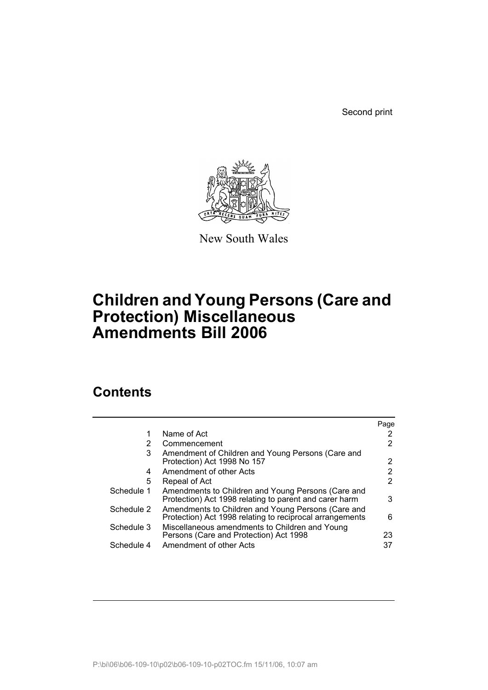Second print



New South Wales

# **Children and Young Persons (Care and Protection) Miscellaneous Amendments Bill 2006**

## **Contents**

|            |                                                                                                                | Page |
|------------|----------------------------------------------------------------------------------------------------------------|------|
| 1          | Name of Act                                                                                                    |      |
| 2          | Commencement                                                                                                   |      |
| 3          | Amendment of Children and Young Persons (Care and<br>Protection) Act 1998 No 157                               | 2    |
| 4          | Amendment of other Acts                                                                                        |      |
| 5          | Repeal of Act                                                                                                  | 2    |
| Schedule 1 | Amendments to Children and Young Persons (Care and<br>Protection) Act 1998 relating to parent and carer harm   | 3    |
| Schedule 2 | Amendments to Children and Young Persons (Care and<br>Protection) Act 1998 relating to reciprocal arrangements | 6    |
| Schedule 3 | Miscellaneous amendments to Children and Young<br>Persons (Care and Protection) Act 1998                       | 23   |
| Schedule 4 | Amendment of other Acts                                                                                        | 37   |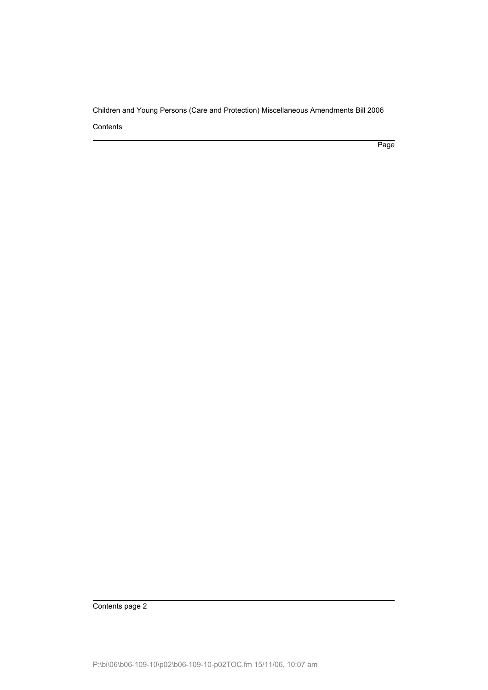Page

Contents page 2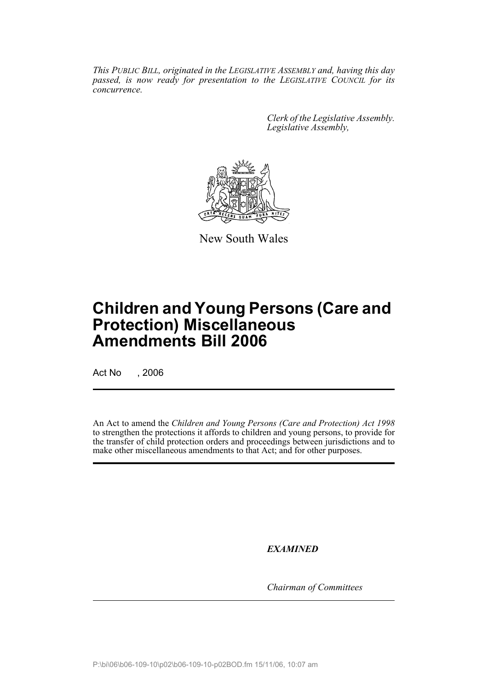*This PUBLIC BILL, originated in the LEGISLATIVE ASSEMBLY and, having this day passed, is now ready for presentation to the LEGISLATIVE COUNCIL for its concurrence.*

> *Clerk of the Legislative Assembly. Legislative Assembly,*



New South Wales

# **Children and Young Persons (Care and Protection) Miscellaneous Amendments Bill 2006**

Act No , 2006

An Act to amend the *Children and Young Persons (Care and Protection) Act 1998* to strengthen the protections it affords to children and young persons, to provide for the transfer of child protection orders and proceedings between jurisdictions and to make other miscellaneous amendments to that Act; and for other purposes.

*EXAMINED*

*Chairman of Committees*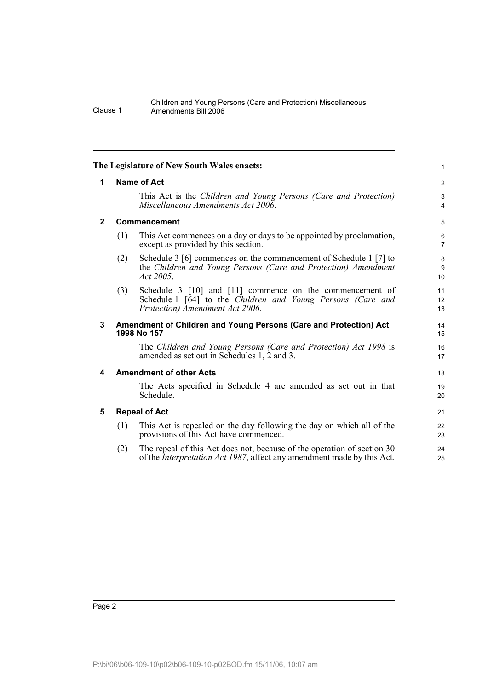|          | Children and Young Persons (Care and Protection) Miscellaneous |
|----------|----------------------------------------------------------------|
| Clause 1 | Amendments Bill 2006                                           |

|              |                    | The Legislature of New South Wales enacts:                                                                                                                 | $\mathbf{1}$        |  |  |
|--------------|--------------------|------------------------------------------------------------------------------------------------------------------------------------------------------------|---------------------|--|--|
| 1            | <b>Name of Act</b> |                                                                                                                                                            |                     |  |  |
|              |                    | This Act is the Children and Young Persons (Care and Protection)<br>Miscellaneous Amendments Act 2006.                                                     | 3<br>$\overline{4}$ |  |  |
| $\mathbf{2}$ |                    | Commencement                                                                                                                                               | 5                   |  |  |
|              | (1)                | This Act commences on a day or days to be appointed by proclamation,<br>except as provided by this section.                                                | 6<br>$\overline{7}$ |  |  |
|              | (2)                | Schedule 3 [6] commences on the commencement of Schedule 1 [7] to<br>the Children and Young Persons (Care and Protection) Amendment<br>Act 2005.           | 8<br>9<br>10        |  |  |
|              | (3)                | Schedule 3 [10] and [11] commence on the commencement of<br>Schedule 1 [64] to the Children and Young Persons (Care and<br>Protection) Amendment Act 2006. | 11<br>12<br>13      |  |  |
| 3            |                    | Amendment of Children and Young Persons (Care and Protection) Act<br>1998 No 157                                                                           | 14<br>15            |  |  |
|              |                    | The Children and Young Persons (Care and Protection) Act 1998 is<br>amended as set out in Schedules 1, 2 and 3.                                            | 16<br>17            |  |  |
| 4            |                    | <b>Amendment of other Acts</b>                                                                                                                             | 18                  |  |  |
|              |                    | The Acts specified in Schedule 4 are amended as set out in that<br>Schedule.                                                                               | 19<br>20            |  |  |
| 5            |                    | <b>Repeal of Act</b>                                                                                                                                       | 21                  |  |  |
|              | (1)                | This Act is repealed on the day following the day on which all of the<br>provisions of this Act have commenced.                                            | 22<br>23            |  |  |
|              | (2)                | The repeal of this Act does not, because of the operation of section 30<br>of the <i>Interpretation Act 1987</i> , affect any amendment made by this Act.  | 24<br>25            |  |  |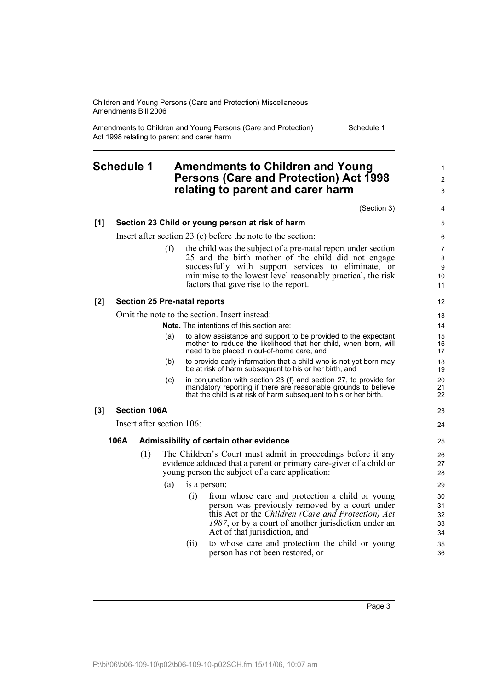Amendments to Children and Young Persons (Care and Protection) Act 1998 relating to parent and carer harm

## **Schedule 1 Amendments to Children and Young Persons (Care and Protection) Act 1998 relating to parent and carer harm**

(Section 3) **[1] Section 23 Child or young person at risk of harm** Insert after section 23 (e) before the note to the section: (f) the child was the subject of a pre-natal report under section 25 and the birth mother of the child did not engage successfully with support services to eliminate, or minimise to the lowest level reasonably practical, the risk factors that gave rise to the report. **[2] Section 25 Pre-natal reports** Omit the note to the section. Insert instead: **Note.** The intentions of this section are: (a) to allow assistance and support to be provided to the expectant mother to reduce the likelihood that her child, when born, will need to be placed in out-of-home care, and (b) to provide early information that a child who is not yet born may be at risk of harm subsequent to his or her birth, and (c) in conjunction with section 23 (f) and section 27, to provide for mandatory reporting if there are reasonable grounds to believe that the child is at risk of harm subsequent to his or her birth. **[3] Section 106A** Insert after section 106: **106A Admissibility of certain other evidence** (1) The Children's Court must admit in proceedings before it any evidence adduced that a parent or primary care-giver of a child or young person the subject of a care application: (a) is a person: (i) from whose care and protection a child or young person was previously removed by a court under this Act or the *Children (Care and Protection) Act 1987*, or by a court of another jurisdiction under an Act of that jurisdiction, and (ii) to whose care and protection the child or young person has not been restored, or 10 11 12 13 14 15 16 17 18 19 20 21  $22$ 23 24 25 26 27 28 29 30 31 32 33 34 35 36

Page 3

Schedule 1

1  $\mathfrak{p}$ 3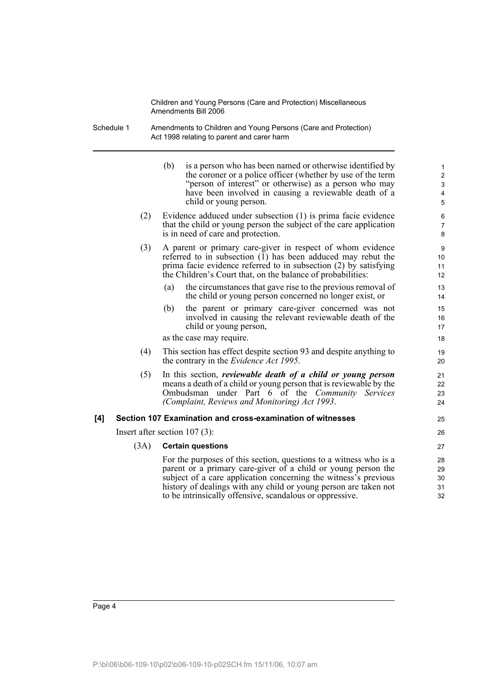Schedule 1 Amendments to Children and Young Persons (Care and Protection) Act 1998 relating to parent and carer harm

|     |      | (b)<br>is a person who has been named or otherwise identified by<br>the coroner or a police officer (whether by use of the term<br>"person of interest" or otherwise) as a person who may<br>have been involved in causing a reviewable death of a<br>child or young person.                                                          | $\mathbf{1}$<br>$\boldsymbol{2}$<br>3<br>4<br>5 |
|-----|------|---------------------------------------------------------------------------------------------------------------------------------------------------------------------------------------------------------------------------------------------------------------------------------------------------------------------------------------|-------------------------------------------------|
|     | (2)  | Evidence adduced under subsection (1) is prima facie evidence<br>that the child or young person the subject of the care application<br>is in need of care and protection.                                                                                                                                                             | 6<br>$\overline{7}$<br>8                        |
|     | (3)  | A parent or primary care-giver in respect of whom evidence<br>referred to in subsection $(1)$ has been adduced may rebut the<br>prima facie evidence referred to in subsection (2) by satisfying<br>the Children's Court that, on the balance of probabilities:                                                                       | 9<br>10<br>11<br>12                             |
|     |      | the circumstances that gave rise to the previous removal of<br>(a)<br>the child or young person concerned no longer exist, or                                                                                                                                                                                                         | 13<br>14                                        |
|     |      | the parent or primary care-giver concerned was not<br>(b)<br>involved in causing the relevant reviewable death of the<br>child or young person,                                                                                                                                                                                       | 15<br>16<br>17                                  |
|     |      | as the case may require.                                                                                                                                                                                                                                                                                                              | 18                                              |
|     | (4)  | This section has effect despite section 93 and despite anything to<br>the contrary in the <i>Evidence Act 1995</i> .                                                                                                                                                                                                                  | 19<br>20                                        |
|     | (5)  | In this section, <i>reviewable death of a child or young person</i><br>means a death of a child or young person that is reviewable by the<br>Ombudsman under Part 6 of the Community Services<br>(Complaint, Reviews and Monitoring) Act 1993.                                                                                        | 21<br>22<br>23<br>24                            |
| [4] |      | Section 107 Examination and cross-examination of witnesses                                                                                                                                                                                                                                                                            | 25                                              |
|     |      | Insert after section $107(3)$ :                                                                                                                                                                                                                                                                                                       | 26                                              |
|     | (3A) | <b>Certain questions</b>                                                                                                                                                                                                                                                                                                              | 27                                              |
|     |      | For the purposes of this section, questions to a witness who is a<br>parent or a primary care-giver of a child or young person the<br>subject of a care application concerning the witness's previous<br>history of dealings with any child or young person are taken not<br>to be intrinsically offensive, scandalous or oppressive. | 28<br>29<br>30<br>31<br>32                      |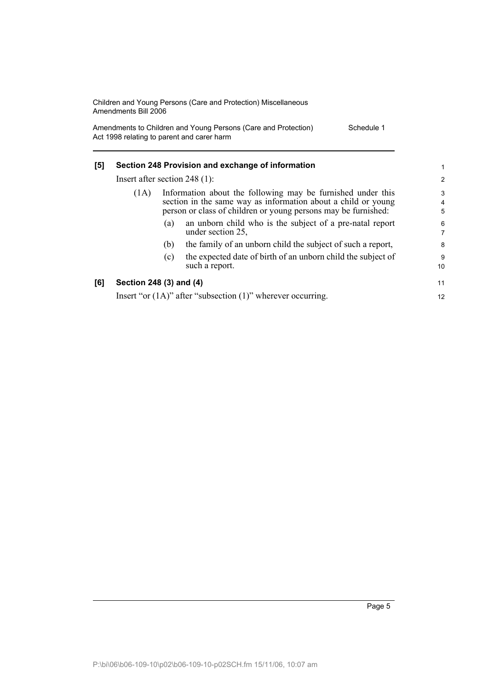Amendments to Children and Young Persons (Care and Protection) Act 1998 relating to parent and carer harm Schedule 1

| [5] | Section 248 Provision and exchange of information<br>Insert after section $248(1)$ : |                                                                                                                                                                                                |                                                                                | 1                        |
|-----|--------------------------------------------------------------------------------------|------------------------------------------------------------------------------------------------------------------------------------------------------------------------------------------------|--------------------------------------------------------------------------------|--------------------------|
|     |                                                                                      |                                                                                                                                                                                                |                                                                                | 2                        |
|     | (1A)                                                                                 | Information about the following may be furnished under this<br>section in the same way as information about a child or young<br>person or class of children or young persons may be furnished: |                                                                                | 3<br>$\overline{4}$<br>5 |
|     |                                                                                      | (a)                                                                                                                                                                                            | an unborn child who is the subject of a pre-natal report<br>under section 25,  | 6<br>7                   |
|     |                                                                                      | (b)                                                                                                                                                                                            | the family of an unborn child the subject of such a report,                    | 8                        |
|     |                                                                                      | (c)                                                                                                                                                                                            | the expected date of birth of an unborn child the subject of<br>such a report. | 9<br>10                  |
| [6] | Section 248 (3) and (4)                                                              |                                                                                                                                                                                                |                                                                                | 11                       |
|     | Insert "or $(1A)$ " after "subsection $(1)$ " wherever occurring.                    |                                                                                                                                                                                                |                                                                                | 12                       |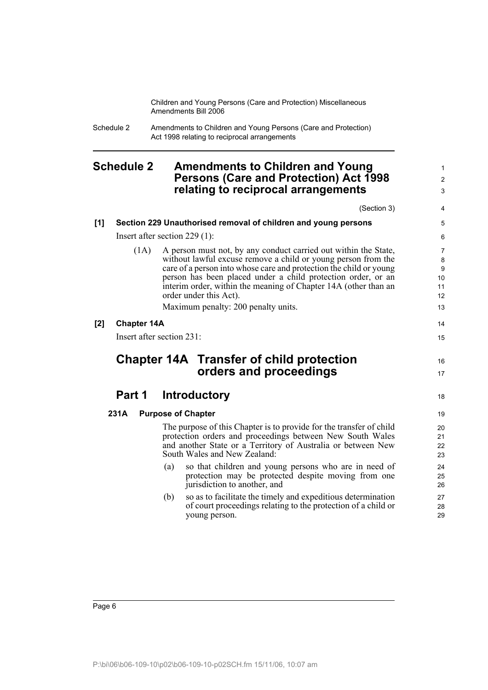> 1 2 3

Schedule 2 Amendments to Children and Young Persons (Care and Protection) Act 1998 relating to reciprocal arrangements

## **Schedule 2 Amendments to Children and Young Persons (Care and Protection) Act 1998 relating to reciprocal arrangements**

|     |                    | (Section 3)                                                                                                                                                                                                                                                                                                                                                                                                | 4                                                |
|-----|--------------------|------------------------------------------------------------------------------------------------------------------------------------------------------------------------------------------------------------------------------------------------------------------------------------------------------------------------------------------------------------------------------------------------------------|--------------------------------------------------|
| [1] |                    | Section 229 Unauthorised removal of children and young persons                                                                                                                                                                                                                                                                                                                                             | 5                                                |
|     |                    | Insert after section $229(1)$ :                                                                                                                                                                                                                                                                                                                                                                            | 6                                                |
|     | (1A)               | A person must not, by any conduct carried out within the State,<br>without lawful excuse remove a child or young person from the<br>care of a person into whose care and protection the child or young<br>person has been placed under a child protection order, or an<br>interim order, within the meaning of Chapter 14A (other than an<br>order under this Act).<br>Maximum penalty: 200 penalty units. | $\overline{7}$<br>8<br>9<br>10<br>11<br>12<br>13 |
| [2] | <b>Chapter 14A</b> |                                                                                                                                                                                                                                                                                                                                                                                                            | 14                                               |
|     |                    | Insert after section 231:                                                                                                                                                                                                                                                                                                                                                                                  | 15                                               |
|     |                    | <b>Chapter 14A Transfer of child protection</b><br>orders and proceedings                                                                                                                                                                                                                                                                                                                                  | 16<br>17                                         |
|     | Part 1             | <b>Introductory</b>                                                                                                                                                                                                                                                                                                                                                                                        | 18                                               |
|     | 231A               | <b>Purpose of Chapter</b>                                                                                                                                                                                                                                                                                                                                                                                  | 19                                               |
|     |                    | The purpose of this Chapter is to provide for the transfer of child<br>protection orders and proceedings between New South Wales<br>and another State or a Territory of Australia or between New<br>South Wales and New Zealand:                                                                                                                                                                           | 20<br>21<br>22<br>23                             |
|     |                    | so that children and young persons who are in need of<br>(a)<br>protection may be protected despite moving from one<br>jurisdiction to another, and                                                                                                                                                                                                                                                        | 24<br>25<br>26                                   |
|     |                    | so as to facilitate the timely and expeditious determination<br>(b)<br>of court proceedings relating to the protection of a child or<br>young person.                                                                                                                                                                                                                                                      | 27<br>28<br>29                                   |
|     |                    |                                                                                                                                                                                                                                                                                                                                                                                                            |                                                  |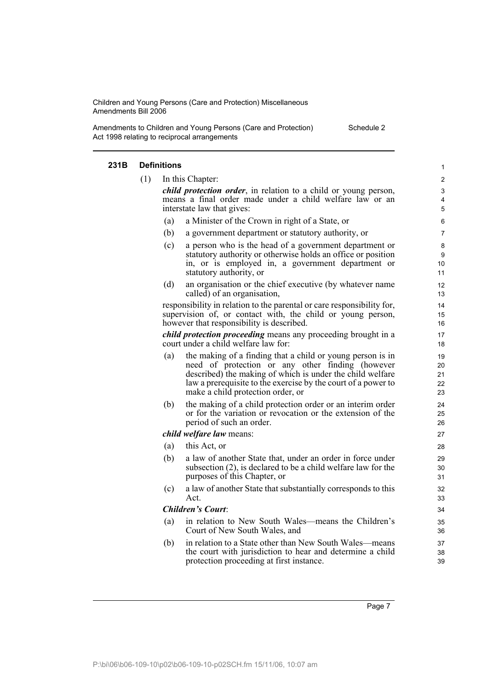Amendments to Children and Young Persons (Care and Protection) Act 1998 relating to reciprocal arrangements

Schedule 2

#### **231B Definitions** (1) In this Chapter: *child protection order*, in relation to a child or young person, means a final order made under a child welfare law or an interstate law that gives: (a) a Minister of the Crown in right of a State, or (b) a government department or statutory authority, or (c) a person who is the head of a government department or statutory authority or otherwise holds an office or position in, or is employed in, a government department or statutory authority, or (d) an organisation or the chief executive (by whatever name called) of an organisation, responsibility in relation to the parental or care responsibility for, supervision of, or contact with, the child or young person, however that responsibility is described. *child protection proceeding* means any proceeding brought in a court under a child welfare law for: (a) the making of a finding that a child or young person is in need of protection or any other finding (however described) the making of which is under the child welfare law a prerequisite to the exercise by the court of a power to make a child protection order, or (b) the making of a child protection order or an interim order or for the variation or revocation or the extension of the period of such an order. *child welfare law* means: (a) this Act, or (b) a law of another State that, under an order in force under subsection (2), is declared to be a child welfare law for the purposes of this Chapter, or (c) a law of another State that substantially corresponds to this Act. *Children's Court*: (a) in relation to New South Wales—means the Children's Court of New South Wales, and (b) in relation to a State other than New South Wales—means the court with jurisdiction to hear and determine a child protection proceeding at first instance. 1  $\mathfrak{p}$ 3 4 5 6 7 8 9 10 11 12 13 14 15 16 17 18 19 20 21 22 23 24 25 26 27 28 29 30 31 32 33 34 35 36 37 38 39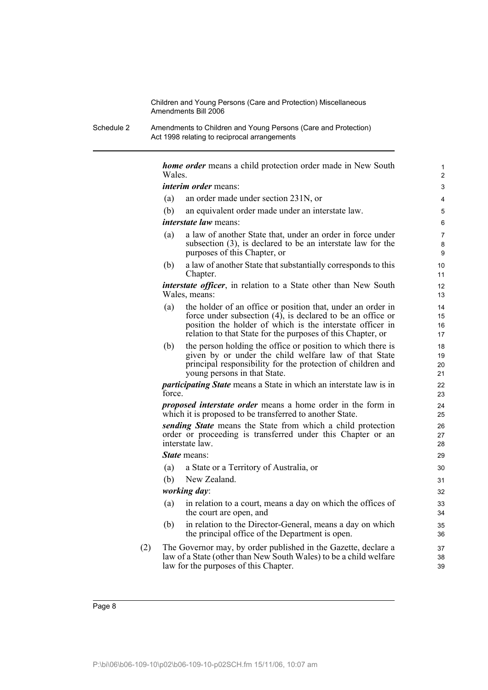Schedule 2 Amendments to Children and Young Persons (Care and Protection) Act 1998 relating to reciprocal arrangements

> *home order* means a child protection order made in New South Wales. *interim order* means: (a) an order made under section 231N, or (b) an equivalent order made under an interstate law. *interstate law* means: (a) a law of another State that, under an order in force under subsection (3), is declared to be an interstate law for the purposes of this Chapter, or (b) a law of another State that substantially corresponds to this Chapter. *interstate officer*, in relation to a State other than New South Wales, means: (a) the holder of an office or position that, under an order in force under subsection (4), is declared to be an office or position the holder of which is the interstate officer in relation to that State for the purposes of this Chapter, or (b) the person holding the office or position to which there is given by or under the child welfare law of that State principal responsibility for the protection of children and young persons in that State. *participating State* means a State in which an interstate law is in force. *proposed interstate order* means a home order in the form in which it is proposed to be transferred to another State. *sending State* means the State from which a child protection order or proceeding is transferred under this Chapter or an interstate law. *State* means: (a) a State or a Territory of Australia, or (b) New Zealand. *working day*: (a) in relation to a court, means a day on which the offices of the court are open, and (b) in relation to the Director-General, means a day on which the principal office of the Department is open. (2) The Governor may, by order published in the Gazette, declare a law of a State (other than New South Wales) to be a child welfare law for the purposes of this Chapter. 1 2 3 4 5 6 7 8 9 10 11 12 13 14 15 16 17 18 19 20 21  $22$ 23 24 25 26 27 28 29 30 31 32 33 34 35 36 37 38 39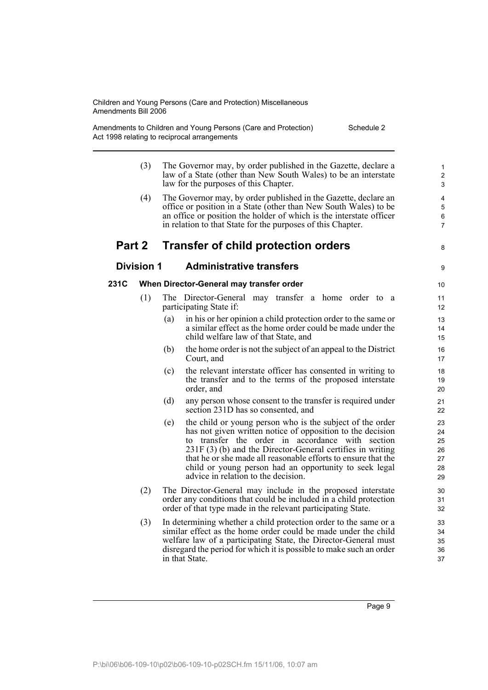Amendments to Children and Young Persons (Care and Protection) Act 1998 relating to reciprocal arrangements Schedule 2

- (3) The Governor may, by order published in the Gazette, declare a law of a State (other than New South Wales) to be an interstate law for the purposes of this Chapter.
- (4) The Governor may, by order published in the Gazette, declare an office or position in a State (other than New South Wales) to be an office or position the holder of which is the interstate officer in relation to that State for the purposes of this Chapter.

## **Part 2 Transfer of child protection orders**

8

9

## **Division 1 Administrative transfers**

#### **231C When Director-General may transfer order**

- (1) The Director-General may transfer a home order to a participating State if:
	- (a) in his or her opinion a child protection order to the same or a similar effect as the home order could be made under the child welfare law of that State, and
	- (b) the home order is not the subject of an appeal to the District Court, and
	- (c) the relevant interstate officer has consented in writing to the transfer and to the terms of the proposed interstate order, and
	- (d) any person whose consent to the transfer is required under section 231D has so consented, and
	- (e) the child or young person who is the subject of the order has not given written notice of opposition to the decision to transfer the order in accordance with section 231F (3) (b) and the Director-General certifies in writing that he or she made all reasonable efforts to ensure that the child or young person had an opportunity to seek legal advice in relation to the decision.
- (2) The Director-General may include in the proposed interstate order any conditions that could be included in a child protection order of that type made in the relevant participating State.
- (3) In determining whether a child protection order to the same or a similar effect as the home order could be made under the child welfare law of a participating State, the Director-General must disregard the period for which it is possible to make such an order in that State.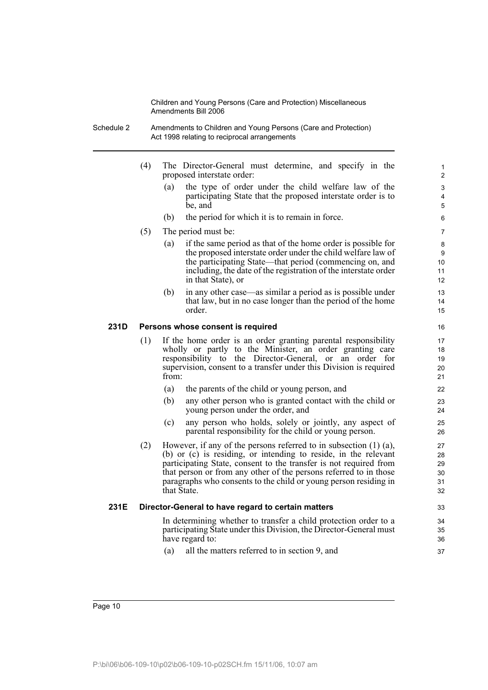- Schedule 2 Amendments to Children and Young Persons (Care and Protection) Act 1998 relating to reciprocal arrangements
	- (4) The Director-General must determine, and specify in the proposed interstate order:
		- (a) the type of order under the child welfare law of the participating State that the proposed interstate order is to be, and

- (b) the period for which it is to remain in force.
- (5) The period must be:
	- (a) if the same period as that of the home order is possible for the proposed interstate order under the child welfare law of the participating State—that period (commencing on, and including, the date of the registration of the interstate order in that State), or
	- (b) in any other case—as similar a period as is possible under that law, but in no case longer than the period of the home order.

#### **231D Persons whose consent is required**

- (1) If the home order is an order granting parental responsibility wholly or partly to the Minister, an order granting care responsibility to the Director-General, or an order for supervision, consent to a transfer under this Division is required from:
	- (a) the parents of the child or young person, and
	- (b) any other person who is granted contact with the child or young person under the order, and
	- (c) any person who holds, solely or jointly, any aspect of parental responsibility for the child or young person.
- (2) However, if any of the persons referred to in subsection (1) (a), (b) or (c) is residing, or intending to reside, in the relevant participating State, consent to the transfer is not required from that person or from any other of the persons referred to in those paragraphs who consents to the child or young person residing in that State.

#### **231E Director-General to have regard to certain matters**

In determining whether to transfer a child protection order to a participating State under this Division, the Director-General must have regard to:

(a) all the matters referred to in section 9, and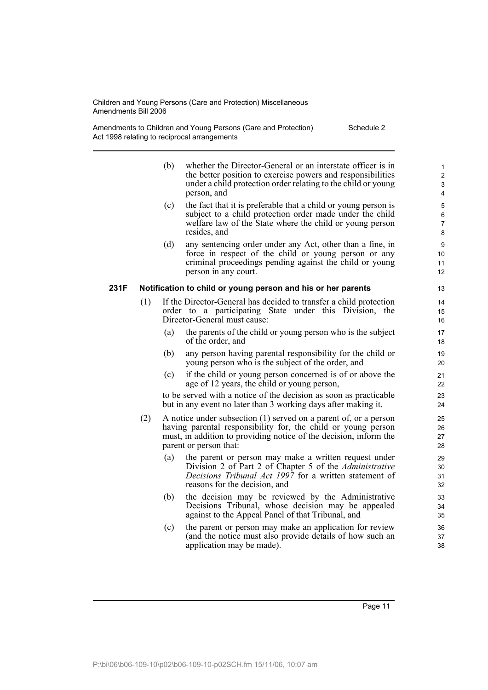Amendments to Children and Young Persons (Care and Protection) Act 1998 relating to reciprocal arrangements Schedule 2

| (b) | whether the Director-General or an interstate officer is in   |
|-----|---------------------------------------------------------------|
|     | the better position to exercise powers and responsibilities   |
|     | under a child protection order relating to the child or young |
|     | person, and                                                   |

- (c) the fact that it is preferable that a child or young person is subject to a child protection order made under the child welfare law of the State where the child or young person resides, and
- (d) any sentencing order under any Act, other than a fine, in force in respect of the child or young person or any criminal proceedings pending against the child or young person in any court.

#### **231F Notification to child or young person and his or her parents**

- (1) If the Director-General has decided to transfer a child protection order to a participating State under this Division, the Director-General must cause:
	- (a) the parents of the child or young person who is the subject of the order, and
	- (b) any person having parental responsibility for the child or young person who is the subject of the order, and
	- (c) if the child or young person concerned is of or above the age of 12 years, the child or young person,

to be served with a notice of the decision as soon as practicable but in any event no later than 3 working days after making it.

- (2) A notice under subsection (1) served on a parent of, or a person having parental responsibility for, the child or young person must, in addition to providing notice of the decision, inform the parent or person that:
	- (a) the parent or person may make a written request under Division 2 of Part 2 of Chapter 5 of the *Administrative Decisions Tribunal Act 1997* for a written statement of reasons for the decision, and
	- (b) the decision may be reviewed by the Administrative Decisions Tribunal, whose decision may be appealed against to the Appeal Panel of that Tribunal, and
	- (c) the parent or person may make an application for review (and the notice must also provide details of how such an application may be made).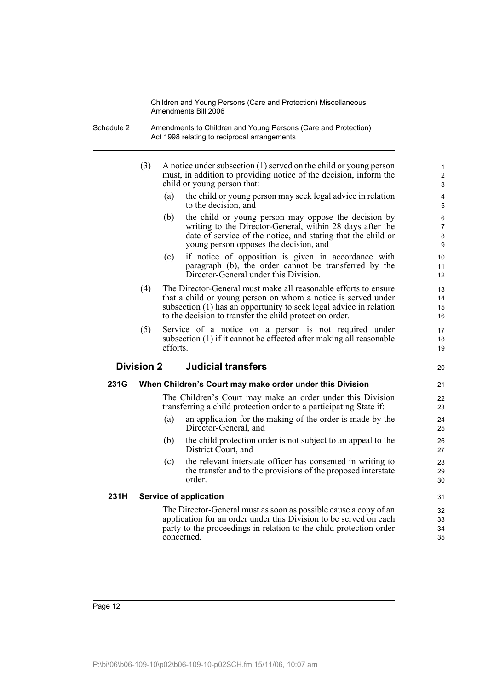- Schedule 2 Amendments to Children and Young Persons (Care and Protection) Act 1998 relating to reciprocal arrangements
	- (3) A notice under subsection (1) served on the child or young person must, in addition to providing notice of the decision, inform the child or young person that:
		- (a) the child or young person may seek legal advice in relation to the decision, and

20

- (b) the child or young person may oppose the decision by writing to the Director-General, within 28 days after the date of service of the notice, and stating that the child or young person opposes the decision, and
- (c) if notice of opposition is given in accordance with paragraph (b), the order cannot be transferred by the Director-General under this Division.
- (4) The Director-General must make all reasonable efforts to ensure that a child or young person on whom a notice is served under subsection (1) has an opportunity to seek legal advice in relation to the decision to transfer the child protection order.
- (5) Service of a notice on a person is not required under subsection (1) if it cannot be effected after making all reasonable efforts.

### **Division 2 Judicial transfers**

#### **231G When Children's Court may make order under this Division**

The Children's Court may make an order under this Division transferring a child protection order to a participating State if:

- (a) an application for the making of the order is made by the Director-General, and
- (b) the child protection order is not subject to an appeal to the District Court, and
- (c) the relevant interstate officer has consented in writing to the transfer and to the provisions of the proposed interstate order.

#### **231H Service of application**

The Director-General must as soon as possible cause a copy of an application for an order under this Division to be served on each party to the proceedings in relation to the child protection order concerned.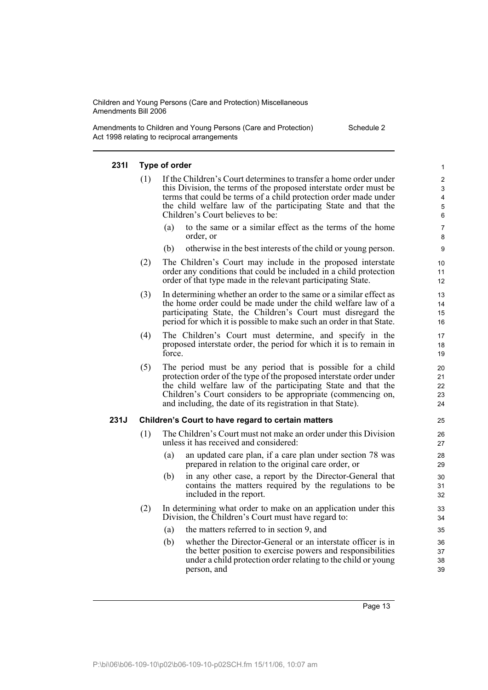Amendments to Children and Young Persons (Care and Protection) Act 1998 relating to reciprocal arrangements Schedule 2

#### **231I Type of order**

- (1) If the Children's Court determines to transfer a home order under this Division, the terms of the proposed interstate order must be terms that could be terms of a child protection order made under the child welfare law of the participating State and that the Children's Court believes to be:
	- to the same or a similar effect as the terms of the home order, or
	- (b) otherwise in the best interests of the child or young person.
- (2) The Children's Court may include in the proposed interstate order any conditions that could be included in a child protection order of that type made in the relevant participating State.
- (3) In determining whether an order to the same or a similar effect as the home order could be made under the child welfare law of a participating State, the Children's Court must disregard the period for which it is possible to make such an order in that State.
- (4) The Children's Court must determine, and specify in the proposed interstate order, the period for which it is to remain in force.
- (5) The period must be any period that is possible for a child protection order of the type of the proposed interstate order under the child welfare law of the participating State and that the Children's Court considers to be appropriate (commencing on, and including, the date of its registration in that State).

#### **231J Children's Court to have regard to certain matters**

- (1) The Children's Court must not make an order under this Division unless it has received and considered:
	- (a) an updated care plan, if a care plan under section 78 was prepared in relation to the original care order, or
	- (b) in any other case, a report by the Director-General that contains the matters required by the regulations to be included in the report.
- (2) In determining what order to make on an application under this Division, the Children's Court must have regard to:
	- (a) the matters referred to in section 9, and
	- (b) whether the Director-General or an interstate officer is in the better position to exercise powers and responsibilities under a child protection order relating to the child or young person, and

Page 13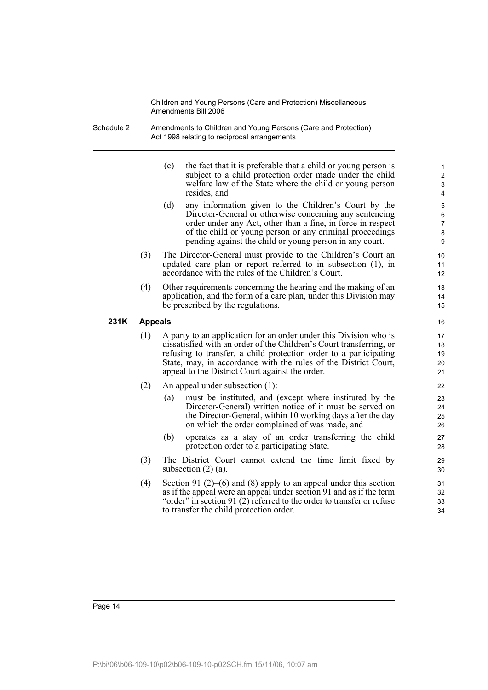- Schedule 2 Amendments to Children and Young Persons (Care and Protection) Act 1998 relating to reciprocal arrangements
	- (c) the fact that it is preferable that a child or young person is subject to a child protection order made under the child welfare law of the State where the child or young person resides, and

- (d) any information given to the Children's Court by the Director-General or otherwise concerning any sentencing order under any Act, other than a fine, in force in respect of the child or young person or any criminal proceedings pending against the child or young person in any court.
- (3) The Director-General must provide to the Children's Court an updated care plan or report referred to in subsection (1), in accordance with the rules of the Children's Court.
- (4) Other requirements concerning the hearing and the making of an application, and the form of a care plan, under this Division may be prescribed by the regulations.

#### **231K Appeals**

- (1) A party to an application for an order under this Division who is dissatisfied with an order of the Children's Court transferring, or refusing to transfer, a child protection order to a participating State, may, in accordance with the rules of the District Court, appeal to the District Court against the order.
- (2) An appeal under subsection (1):
	- (a) must be instituted, and (except where instituted by the Director-General) written notice of it must be served on the Director-General, within 10 working days after the day on which the order complained of was made, and
	- (b) operates as a stay of an order transferring the child protection order to a participating State.
- (3) The District Court cannot extend the time limit fixed by subsection (2) (a).
- (4) Section 91 (2)–(6) and (8) apply to an appeal under this section as if the appeal were an appeal under section 91 and as if the term "order" in section 91 (2) referred to the order to transfer or refuse to transfer the child protection order.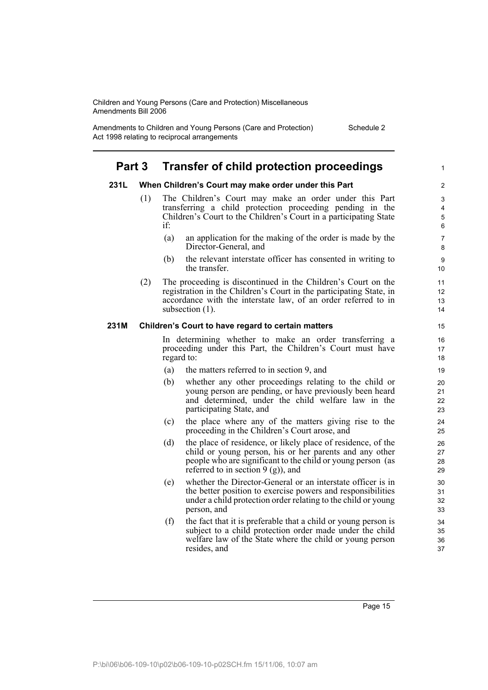Amendments to Children and Young Persons (Care and Protection) Act 1998 relating to reciprocal arrangements

Schedule 2

1

## **Part 3 Transfer of child protection proceedings**

#### **231L When Children's Court may make order under this Part**

- (1) The Children's Court may make an order under this Part transferring a child protection proceeding pending in the Children's Court to the Children's Court in a participating State if:
	- (a) an application for the making of the order is made by the Director-General, and
	- (b) the relevant interstate officer has consented in writing to the transfer.
- (2) The proceeding is discontinued in the Children's Court on the registration in the Children's Court in the participating State, in accordance with the interstate law, of an order referred to in subsection (1).

#### **231M Children's Court to have regard to certain matters**

In determining whether to make an order transferring a proceeding under this Part, the Children's Court must have regard to:

- (a) the matters referred to in section 9, and
- (b) whether any other proceedings relating to the child or young person are pending, or have previously been heard and determined, under the child welfare law in the participating State, and
- (c) the place where any of the matters giving rise to the proceeding in the Children's Court arose, and
- (d) the place of residence, or likely place of residence, of the child or young person, his or her parents and any other people who are significant to the child or young person (as referred to in section  $9$  (g)), and
- (e) whether the Director-General or an interstate officer is in the better position to exercise powers and responsibilities under a child protection order relating to the child or young person, and
- (f) the fact that it is preferable that a child or young person is subject to a child protection order made under the child welfare law of the State where the child or young person resides, and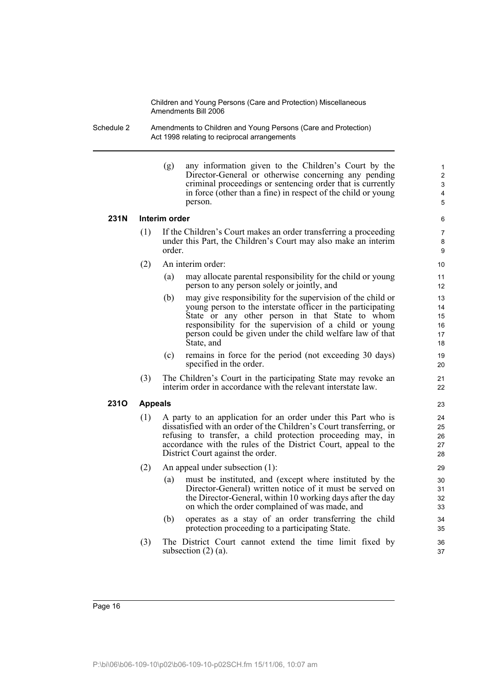- Schedule 2 Amendments to Children and Young Persons (Care and Protection) Act 1998 relating to reciprocal arrangements
	- (g) any information given to the Children's Court by the Director-General or otherwise concerning any pending criminal proceedings or sentencing order that is currently in force (other than a fine) in respect of the child or young person.

#### **231N Interim order**

- (1) If the Children's Court makes an order transferring a proceeding under this Part, the Children's Court may also make an interim order.
- (2) An interim order:
	- (a) may allocate parental responsibility for the child or young person to any person solely or jointly, and
	- (b) may give responsibility for the supervision of the child or young person to the interstate officer in the participating State or any other person in that State to whom responsibility for the supervision of a child or young person could be given under the child welfare law of that State, and
	- (c) remains in force for the period (not exceeding 30 days) specified in the order.
- (3) The Children's Court in the participating State may revoke an interim order in accordance with the relevant interstate law.

#### **231O Appeals**

- (1) A party to an application for an order under this Part who is dissatisfied with an order of the Children's Court transferring, or refusing to transfer, a child protection proceeding may, in accordance with the rules of the District Court, appeal to the District Court against the order.
- (2) An appeal under subsection (1):
	- (a) must be instituted, and (except where instituted by the Director-General) written notice of it must be served on the Director-General, within 10 working days after the day on which the order complained of was made, and
	- (b) operates as a stay of an order transferring the child protection proceeding to a participating State.
- (3) The District Court cannot extend the time limit fixed by subsection  $(2)$   $(a)$ .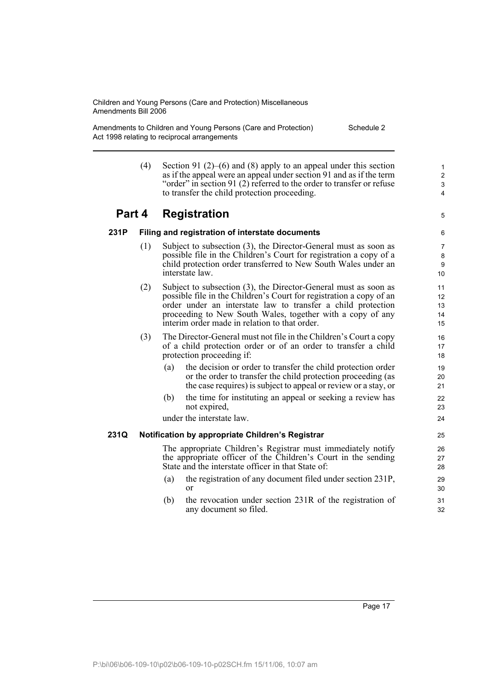Amendments to Children and Young Persons (Care and Protection) Act 1998 relating to reciprocal arrangements Schedule 2

> (4) Section 91 (2)–(6) and (8) apply to an appeal under this section as if the appeal were an appeal under section 91 and as if the term "order" in section 91 (2) referred to the order to transfer or refuse to transfer the child protection proceeding.

## **Part 4 Registration**

5

## **231P Filing and registration of interstate documents**

- (1) Subject to subsection (3), the Director-General must as soon as possible file in the Children's Court for registration a copy of a child protection order transferred to New South Wales under an interstate law.
- (2) Subject to subsection (3), the Director-General must as soon as possible file in the Children's Court for registration a copy of an order under an interstate law to transfer a child protection proceeding to New South Wales, together with a copy of any interim order made in relation to that order.
- (3) The Director-General must not file in the Children's Court a copy of a child protection order or of an order to transfer a child protection proceeding if:
	- (a) the decision or order to transfer the child protection order or the order to transfer the child protection proceeding (as the case requires) is subject to appeal or review or a stay, or
	- (b) the time for instituting an appeal or seeking a review has not expired,

under the interstate law.

### **231Q Notification by appropriate Children's Registrar**

The appropriate Children's Registrar must immediately notify the appropriate officer of the Children's Court in the sending State and the interstate officer in that State of:

- (a) the registration of any document filed under section 231P, or
- (b) the revocation under section 231R of the registration of any document so filed.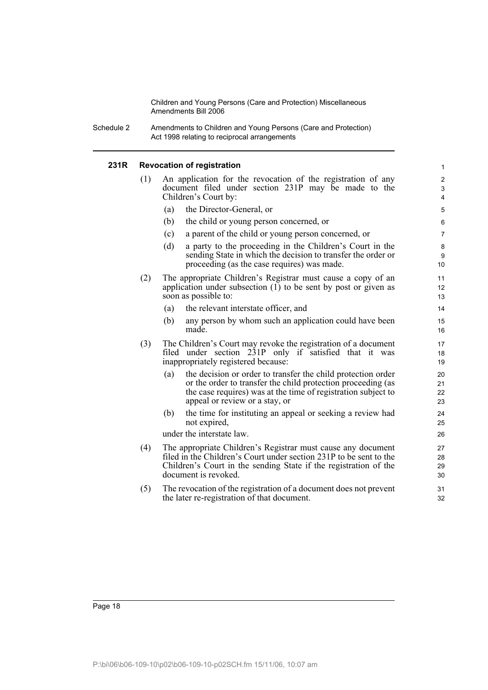Schedule 2 Amendments to Children and Young Persons (Care and Protection) Act 1998 relating to reciprocal arrangements

#### **231R Revocation of registration**

| ₹ |     |     | <b>Revocation of registration</b>                                                                                                                                                                                               | $\mathbf{1}$                            |
|---|-----|-----|---------------------------------------------------------------------------------------------------------------------------------------------------------------------------------------------------------------------------------|-----------------------------------------|
|   | (1) |     | An application for the revocation of the registration of any<br>document filed under section 231P may be made to the<br>Children's Court by:                                                                                    | $\boldsymbol{2}$<br>3<br>$\overline{4}$ |
|   |     | (a) | the Director-General, or                                                                                                                                                                                                        | 5                                       |
|   |     | (b) | the child or young person concerned, or                                                                                                                                                                                         | 6                                       |
|   |     | (c) | a parent of the child or young person concerned, or                                                                                                                                                                             | $\overline{7}$                          |
|   |     | (d) | a party to the proceeding in the Children's Court in the<br>sending State in which the decision to transfer the order or<br>proceeding (as the case requires) was made.                                                         | 8<br>9<br>10                            |
|   | (2) |     | The appropriate Children's Registrar must cause a copy of an<br>application under subsection $(1)$ to be sent by post or given as<br>soon as possible to:                                                                       | 11<br>12<br>13                          |
|   |     | (a) | the relevant interstate officer, and                                                                                                                                                                                            | 14                                      |
|   |     | (b) | any person by whom such an application could have been<br>made.                                                                                                                                                                 | 15<br>16                                |
|   | (3) |     | The Children's Court may revoke the registration of a document<br>filed under section 231P only if satisfied that it was<br>inappropriately registered because:                                                                 | 17<br>18<br>19                          |
|   |     | (a) | the decision or order to transfer the child protection order<br>or the order to transfer the child protection proceeding (as<br>the case requires) was at the time of registration subject to<br>appeal or review or a stay, or | 20<br>21<br>22<br>23                    |
|   |     | (b) | the time for instituting an appeal or seeking a review had<br>not expired,                                                                                                                                                      | 24<br>25                                |
|   |     |     | under the interstate law.                                                                                                                                                                                                       | 26                                      |
|   | (4) |     | The appropriate Children's Registrar must cause any document<br>filed in the Children's Court under section 231P to be sent to the<br>Children's Court in the sending State if the registration of the<br>document is revoked.  | 27<br>28<br>29<br>30                    |
|   | (5) |     | The revocation of the registration of a document does not prevent<br>the later re-registration of that document.                                                                                                                | 31<br>32                                |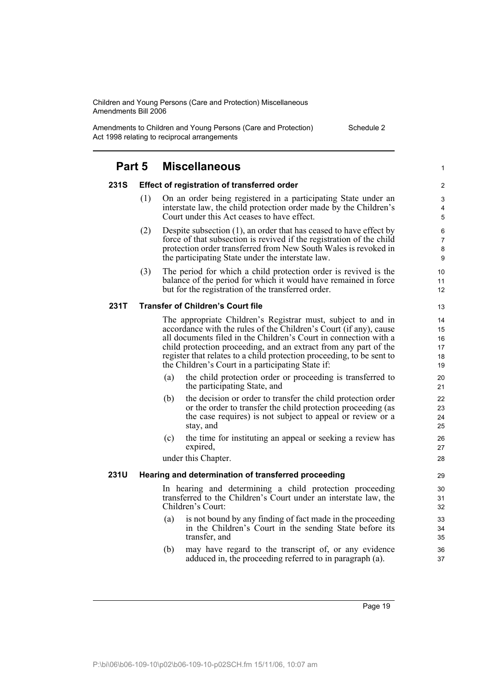Amendments to Children and Young Persons (Care and Protection) Act 1998 relating to reciprocal arrangements

Schedule 2

|             | <b>Miscellaneous</b><br>Part 5 |                                                                                                                                                                                                                                                                                                                                                                                                         | 1                                |
|-------------|--------------------------------|---------------------------------------------------------------------------------------------------------------------------------------------------------------------------------------------------------------------------------------------------------------------------------------------------------------------------------------------------------------------------------------------------------|----------------------------------|
| <b>231S</b> |                                | Effect of registration of transferred order                                                                                                                                                                                                                                                                                                                                                             | $\overline{c}$                   |
|             | (1)                            | On an order being registered in a participating State under an<br>interstate law, the child protection order made by the Children's<br>Court under this Act ceases to have effect.                                                                                                                                                                                                                      | 3<br>4<br>5                      |
|             | (2)                            | Despite subsection (1), an order that has ceased to have effect by<br>force of that subsection is revived if the registration of the child<br>protection order transferred from New South Wales is revoked in<br>the participating State under the interstate law.                                                                                                                                      | 6<br>$\overline{7}$<br>8<br>9    |
|             | (3)                            | The period for which a child protection order is revived is the<br>balance of the period for which it would have remained in force<br>but for the registration of the transferred order.                                                                                                                                                                                                                | 10<br>11<br>12                   |
| 231T        |                                | <b>Transfer of Children's Court file</b>                                                                                                                                                                                                                                                                                                                                                                | 13                               |
|             |                                | The appropriate Children's Registrar must, subject to and in<br>accordance with the rules of the Children's Court (if any), cause<br>all documents filed in the Children's Court in connection with a<br>child protection proceeding, and an extract from any part of the<br>register that relates to a child protection proceeding, to be sent to<br>the Children's Court in a participating State if: | 14<br>15<br>16<br>17<br>18<br>19 |
|             |                                | the child protection order or proceeding is transferred to<br>(a)<br>the participating State, and                                                                                                                                                                                                                                                                                                       | 20<br>21                         |
|             |                                | (b)<br>the decision or order to transfer the child protection order<br>or the order to transfer the child protection proceeding (as<br>the case requires) is not subject to appeal or review or a<br>stay, and                                                                                                                                                                                          | 22<br>23<br>24<br>25             |
|             |                                | the time for instituting an appeal or seeking a review has<br>(c)<br>expired,                                                                                                                                                                                                                                                                                                                           | 26<br>27                         |
|             |                                | under this Chapter.                                                                                                                                                                                                                                                                                                                                                                                     | 28                               |
| <b>231U</b> |                                | Hearing and determination of transferred proceeding                                                                                                                                                                                                                                                                                                                                                     | 29                               |
|             |                                | In hearing and determining a child protection proceeding<br>transferred to the Children's Court under an interstate law, the<br>Children's Court:                                                                                                                                                                                                                                                       | 30<br>31<br>32                   |
|             |                                | is not bound by any finding of fact made in the proceeding<br>(a)<br>in the Children's Court in the sending State before its<br>transfer, and                                                                                                                                                                                                                                                           | 33<br>34<br>35                   |
|             |                                | may have regard to the transcript of, or any evidence<br>(b)<br>adduced in, the proceeding referred to in paragraph (a).                                                                                                                                                                                                                                                                                | 36<br>37                         |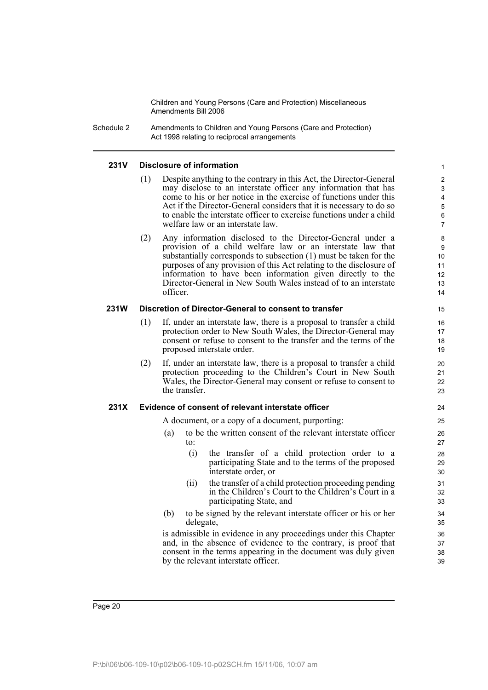Schedule 2 Amendments to Children and Young Persons (Care and Protection) Act 1998 relating to reciprocal arrangements

#### **231V Disclosure of information**

(1) Despite anything to the contrary in this Act, the Director-General may disclose to an interstate officer any information that has come to his or her notice in the exercise of functions under this Act if the Director-General considers that it is necessary to do so to enable the interstate officer to exercise functions under a child welfare law or an interstate law.

(2) Any information disclosed to the Director-General under a provision of a child welfare law or an interstate law that substantially corresponds to subsection (1) must be taken for the purposes of any provision of this Act relating to the disclosure of information to have been information given directly to the Director-General in New South Wales instead of to an interstate officer.

#### **231W Discretion of Director-General to consent to transfer**

- (1) If, under an interstate law, there is a proposal to transfer a child protection order to New South Wales, the Director-General may consent or refuse to consent to the transfer and the terms of the proposed interstate order.
- (2) If, under an interstate law, there is a proposal to transfer a child protection proceeding to the Children's Court in New South Wales, the Director-General may consent or refuse to consent to the transfer.

#### **231X Evidence of consent of relevant interstate officer**

A document, or a copy of a document, purporting:

- (a) to be the written consent of the relevant interstate officer to:
	- (i) the transfer of a child protection order to a participating State and to the terms of the proposed interstate order, or
	- (ii) the transfer of a child protection proceeding pending in the Children's Court to the Children's Court in a participating State, and
- (b) to be signed by the relevant interstate officer or his or her delegate,

is admissible in evidence in any proceedings under this Chapter and, in the absence of evidence to the contrary, is proof that consent in the terms appearing in the document was duly given by the relevant interstate officer.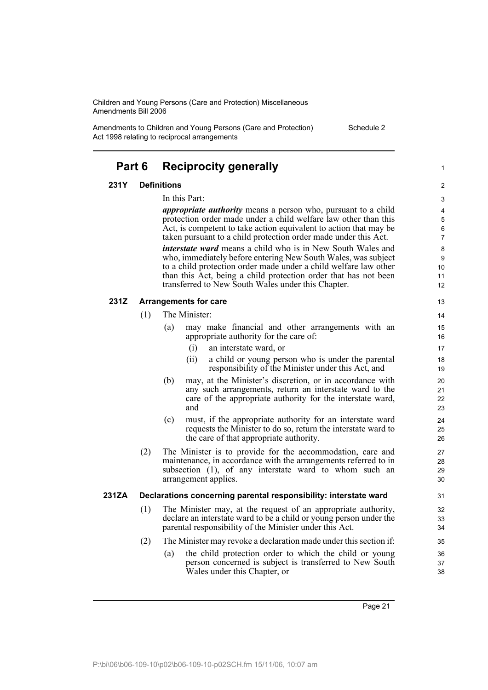Amendments to Children and Young Persons (Care and Protection) Act 1998 relating to reciprocal arrangements

| Schedule 2 |  |
|------------|--|
|------------|--|

| Part 6 |     |                    | <b>Reciprocity generally</b>                                                                                                                                                                                                                                                                                                                                                                                                                                                                                                                                                                                        |
|--------|-----|--------------------|---------------------------------------------------------------------------------------------------------------------------------------------------------------------------------------------------------------------------------------------------------------------------------------------------------------------------------------------------------------------------------------------------------------------------------------------------------------------------------------------------------------------------------------------------------------------------------------------------------------------|
| 231Y   |     | <b>Definitions</b> |                                                                                                                                                                                                                                                                                                                                                                                                                                                                                                                                                                                                                     |
|        |     | In this Part:      | <i>appropriate authority</i> means a person who, pursuant to a child<br>protection order made under a child welfare law other than this<br>Act, is competent to take action equivalent to action that may be<br>taken pursuant to a child protection order made under this Act.<br><i>interstate ward</i> means a child who is in New South Wales and<br>who, immediately before entering New South Wales, was subject<br>to a child protection order made under a child welfare law other<br>than this Act, being a child protection order that has not been<br>transferred to New South Wales under this Chapter. |
| 231Z   |     |                    | <b>Arrangements for care</b>                                                                                                                                                                                                                                                                                                                                                                                                                                                                                                                                                                                        |
|        | (1) |                    | The Minister:                                                                                                                                                                                                                                                                                                                                                                                                                                                                                                                                                                                                       |
|        |     | (a)                | may make financial and other arrangements with an<br>appropriate authority for the care of:                                                                                                                                                                                                                                                                                                                                                                                                                                                                                                                         |
|        |     |                    | an interstate ward, or<br>(i)                                                                                                                                                                                                                                                                                                                                                                                                                                                                                                                                                                                       |
|        |     |                    | (ii)<br>a child or young person who is under the parental<br>responsibility of the Minister under this Act, and                                                                                                                                                                                                                                                                                                                                                                                                                                                                                                     |
|        |     | (b)                | may, at the Minister's discretion, or in accordance with<br>any such arrangements, return an interstate ward to the<br>care of the appropriate authority for the interstate ward,<br>and                                                                                                                                                                                                                                                                                                                                                                                                                            |
|        |     | (c)                | must, if the appropriate authority for an interstate ward<br>requests the Minister to do so, return the interstate ward to<br>the care of that appropriate authority.                                                                                                                                                                                                                                                                                                                                                                                                                                               |
|        | (2) |                    | The Minister is to provide for the accommodation, care and<br>maintenance, in accordance with the arrangements referred to in<br>subsection (1), of any interstate ward to whom such an<br>arrangement applies.                                                                                                                                                                                                                                                                                                                                                                                                     |
| 231ZA  |     |                    | Declarations concerning parental responsibility: interstate ward                                                                                                                                                                                                                                                                                                                                                                                                                                                                                                                                                    |
|        | (1) |                    | The Minister may, at the request of an appropriate authority,<br>declare an interstate ward to be a child or young person under the<br>parental responsibility of the Minister under this Act.                                                                                                                                                                                                                                                                                                                                                                                                                      |
|        | (2) |                    | The Minister may revoke a declaration made under this section if:                                                                                                                                                                                                                                                                                                                                                                                                                                                                                                                                                   |
|        |     | (a)                | the child protection order to which the child or young<br>person concerned is subject is transferred to New South<br>Wales under this Chapter, or                                                                                                                                                                                                                                                                                                                                                                                                                                                                   |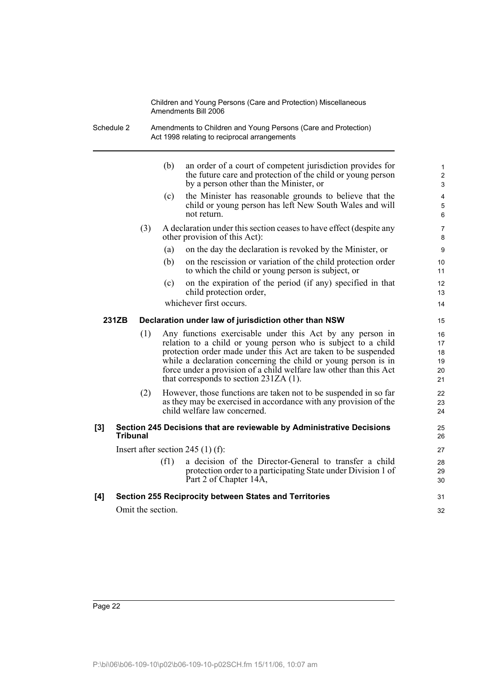Schedule 2 Amendments to Children and Young Persons (Care and Protection) Act 1998 relating to reciprocal arrangements

|     |                   | (b)  | an order of a court of competent jurisdiction provides for<br>the future care and protection of the child or young person<br>by a person other than the Minister, or                                                                                                                                                                                                             | $\mathbf{1}$<br>$\overline{\mathbf{c}}$<br>3 |
|-----|-------------------|------|----------------------------------------------------------------------------------------------------------------------------------------------------------------------------------------------------------------------------------------------------------------------------------------------------------------------------------------------------------------------------------|----------------------------------------------|
|     |                   | (c)  | the Minister has reasonable grounds to believe that the<br>child or young person has left New South Wales and will<br>not return.                                                                                                                                                                                                                                                | 4<br>$\mathbf 5$<br>6                        |
|     | (3)               |      | A declaration under this section ceases to have effect (despite any<br>other provision of this Act):                                                                                                                                                                                                                                                                             | $\overline{7}$<br>8                          |
|     |                   | (a)  | on the day the declaration is revoked by the Minister, or                                                                                                                                                                                                                                                                                                                        | 9                                            |
|     |                   | (b)  | on the rescission or variation of the child protection order<br>to which the child or young person is subject, or                                                                                                                                                                                                                                                                | 10<br>11                                     |
|     |                   | (c)  | on the expiration of the period (if any) specified in that<br>child protection order,                                                                                                                                                                                                                                                                                            | 12<br>13                                     |
|     |                   |      | whichever first occurs.                                                                                                                                                                                                                                                                                                                                                          | 14                                           |
|     | 231ZB             |      | Declaration under law of jurisdiction other than NSW                                                                                                                                                                                                                                                                                                                             | 15                                           |
|     | (1)               |      | Any functions exercisable under this Act by any person in<br>relation to a child or young person who is subject to a child<br>protection order made under this Act are taken to be suspended<br>while a declaration concerning the child or young person is in<br>force under a provision of a child welfare law other than this Act<br>that corresponds to section $231ZA(1)$ . | 16<br>17<br>18<br>19<br>20<br>21             |
|     | (2)               |      | However, those functions are taken not to be suspended in so far<br>as they may be exercised in accordance with any provision of the<br>child welfare law concerned.                                                                                                                                                                                                             | 22<br>23<br>24                               |
| [3] | <b>Tribunal</b>   |      | Section 245 Decisions that are reviewable by Administrative Decisions                                                                                                                                                                                                                                                                                                            | 25<br>26                                     |
|     |                   |      | Insert after section 245 $(1)$ (f):                                                                                                                                                                                                                                                                                                                                              | 27                                           |
|     |                   | (f1) | a decision of the Director-General to transfer a child<br>protection order to a participating State under Division 1 of<br>Part 2 of Chapter 14A,                                                                                                                                                                                                                                | 28<br>29<br>30                               |
| [4] |                   |      | <b>Section 255 Reciprocity between States and Territories</b>                                                                                                                                                                                                                                                                                                                    | 31                                           |
|     | Omit the section. |      |                                                                                                                                                                                                                                                                                                                                                                                  | 32                                           |
|     |                   |      |                                                                                                                                                                                                                                                                                                                                                                                  |                                              |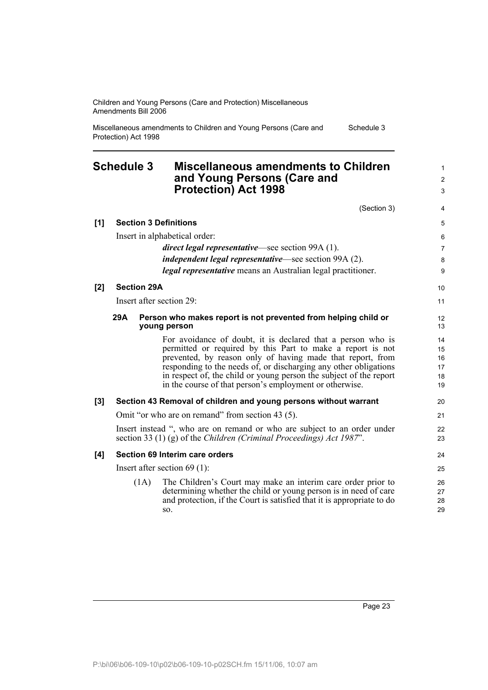|                   | Protection) Act 1998     |                                                                                                                                                                                                                                                                                                                                                                                              |                                     |
|-------------------|--------------------------|----------------------------------------------------------------------------------------------------------------------------------------------------------------------------------------------------------------------------------------------------------------------------------------------------------------------------------------------------------------------------------------------|-------------------------------------|
| <b>Schedule 3</b> |                          | <b>Miscellaneous amendments to Children</b><br>and Young Persons (Care and<br><b>Protection) Act 1998</b>                                                                                                                                                                                                                                                                                    | $\mathbf{1}$<br>$\overline{2}$<br>3 |
|                   |                          | (Section 3)                                                                                                                                                                                                                                                                                                                                                                                  | 4                                   |
| [1]               |                          | <b>Section 3 Definitions</b>                                                                                                                                                                                                                                                                                                                                                                 | 5                                   |
|                   |                          | Insert in alphabetical order:                                                                                                                                                                                                                                                                                                                                                                | 6                                   |
|                   |                          | <i>direct legal representative</i> —see section 99A (1).                                                                                                                                                                                                                                                                                                                                     | $\overline{7}$                      |
|                   |                          | <i>independent legal representative</i> —see section 99A (2).                                                                                                                                                                                                                                                                                                                                | 8                                   |
|                   |                          | <i>legal representative</i> means an Australian legal practitioner.                                                                                                                                                                                                                                                                                                                          | 9                                   |
| $[2]$             | <b>Section 29A</b>       |                                                                                                                                                                                                                                                                                                                                                                                              | 10                                  |
|                   | Insert after section 29: |                                                                                                                                                                                                                                                                                                                                                                                              | 11                                  |
|                   | 29A                      | Person who makes report is not prevented from helping child or<br>young person                                                                                                                                                                                                                                                                                                               | 12<br>13                            |
|                   |                          | For avoidance of doubt, it is declared that a person who is<br>permitted or required by this Part to make a report is not<br>prevented, by reason only of having made that report, from<br>responding to the needs of, or discharging any other obligations<br>in respect of, the child or young person the subject of the report<br>in the course of that person's employment or otherwise. | 14<br>15<br>16<br>17<br>18<br>19    |
| [3]               |                          | Section 43 Removal of children and young persons without warrant                                                                                                                                                                                                                                                                                                                             | 20                                  |
|                   |                          | Omit "or who are on remand" from section 43 (5).                                                                                                                                                                                                                                                                                                                                             | 21                                  |
|                   |                          | Insert instead ", who are on remand or who are subject to an order under<br>section 33 (1) (g) of the Children (Criminal Proceedings) Act 1987".                                                                                                                                                                                                                                             | 22<br>23                            |
| [4]               |                          | Section 69 Interim care orders                                                                                                                                                                                                                                                                                                                                                               | 24                                  |
|                   |                          | Insert after section $69(1)$ :                                                                                                                                                                                                                                                                                                                                                               | 25                                  |
|                   | (1A)                     | The Children's Court may make an interim care order prior to<br>determining whether the child or young person is in need of care<br>and protection, if the Court is satisfied that it is appropriate to do<br>SO.                                                                                                                                                                            | 26<br>27<br>28<br>29                |

Miscellaneous amendments to Children and Young Persons (Care and Schedule 3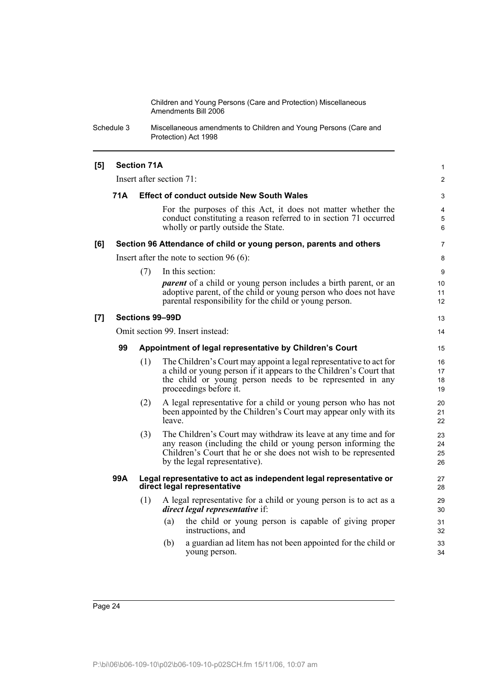Schedule 3 Miscellaneous amendments to Children and Young Persons (Care and Protection) Act 1998

| [5] | <b>Section 71A</b>                                            |     |                                                                                                                                                                                                                                      |                      |  |  |  |
|-----|---------------------------------------------------------------|-----|--------------------------------------------------------------------------------------------------------------------------------------------------------------------------------------------------------------------------------------|----------------------|--|--|--|
|     |                                                               |     | Insert after section 71:                                                                                                                                                                                                             | 2                    |  |  |  |
|     | 71 A<br><b>Effect of conduct outside New South Wales</b>      |     |                                                                                                                                                                                                                                      |                      |  |  |  |
|     |                                                               |     | For the purposes of this Act, it does not matter whether the<br>conduct constituting a reason referred to in section 71 occurred<br>wholly or partly outside the State.                                                              | 4<br>5<br>6          |  |  |  |
| [6] |                                                               |     | Section 96 Attendance of child or young person, parents and others                                                                                                                                                                   | 7                    |  |  |  |
|     |                                                               |     | Insert after the note to section 96 (6):                                                                                                                                                                                             | 8                    |  |  |  |
|     |                                                               | (7) | In this section:<br><i>parent</i> of a child or young person includes a birth parent, or an<br>adoptive parent, of the child or young person who does not have<br>parental responsibility for the child or young person.             | 9<br>10<br>11<br>12  |  |  |  |
| [7] |                                                               |     | Sections 99-99D                                                                                                                                                                                                                      | 13                   |  |  |  |
|     |                                                               |     | Omit section 99. Insert instead:                                                                                                                                                                                                     | 14                   |  |  |  |
|     | 99<br>Appointment of legal representative by Children's Court |     |                                                                                                                                                                                                                                      |                      |  |  |  |
|     |                                                               | (1) | The Children's Court may appoint a legal representative to act for<br>a child or young person if it appears to the Children's Court that<br>the child or young person needs to be represented in any<br>proceedings before it.       | 16<br>17<br>18<br>19 |  |  |  |
|     |                                                               | (2) | A legal representative for a child or young person who has not<br>been appointed by the Children's Court may appear only with its<br>leave.                                                                                          | 20<br>21<br>22       |  |  |  |
|     |                                                               | (3) | The Children's Court may withdraw its leave at any time and for<br>any reason (including the child or young person informing the<br>Children's Court that he or she does not wish to be represented<br>by the legal representative). | 23<br>24<br>25<br>26 |  |  |  |
|     | 99A                                                           |     | Legal representative to act as independent legal representative or<br>direct legal representative                                                                                                                                    | 27<br>28             |  |  |  |
|     |                                                               | (1) | A legal representative for a child or young person is to act as a<br>direct legal representative if:                                                                                                                                 | 29<br>30             |  |  |  |
|     |                                                               |     | the child or young person is capable of giving proper<br>(a)<br>instructions, and                                                                                                                                                    | 31<br>32             |  |  |  |
|     |                                                               |     | a guardian ad litem has not been appointed for the child or<br>(b)<br>young person.                                                                                                                                                  | 33<br>34             |  |  |  |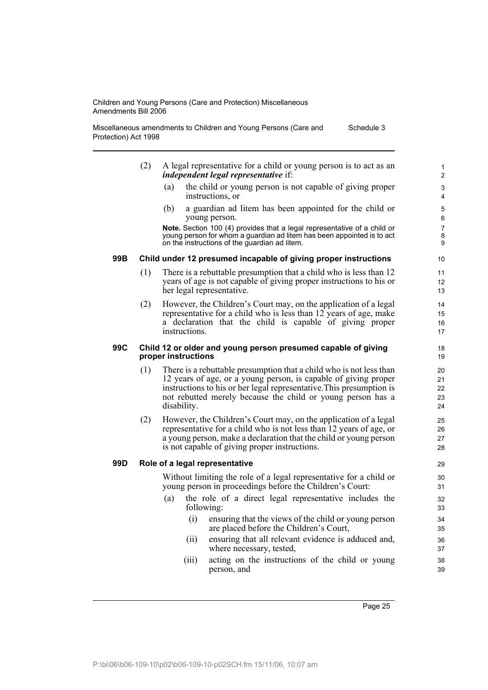Miscellaneous amendments to Children and Young Persons (Care and Protection) Act 1998 Schedule 3

- (2) A legal representative for a child or young person is to act as an *independent legal representative* if:
	- (a) the child or young person is not capable of giving proper instructions, or
	- (b) a guardian ad litem has been appointed for the child or young person.

**Note.** Section 100 (4) provides that a legal representative of a child or young person for whom a guardian ad litem has been appointed is to act on the instructions of the guardian ad litem.

#### **99B Child under 12 presumed incapable of giving proper instructions**

- (1) There is a rebuttable presumption that a child who is less than 12 years of age is not capable of giving proper instructions to his or her legal representative.
- (2) However, the Children's Court may, on the application of a legal representative for a child who is less than 12 years of age, make a declaration that the child is capable of giving proper instructions.

#### **99C Child 12 or older and young person presumed capable of giving proper instructions**

- (1) There is a rebuttable presumption that a child who is not less than 12 years of age, or a young person, is capable of giving proper instructions to his or her legal representative.This presumption is not rebutted merely because the child or young person has a disability.
- (2) However, the Children's Court may, on the application of a legal representative for a child who is not less than 12 years of age, or a young person, make a declaration that the child or young person is not capable of giving proper instructions.

#### **99D Role of a legal representative**

Without limiting the role of a legal representative for a child or young person in proceedings before the Children's Court:

- (a) the role of a direct legal representative includes the following:
	- (i) ensuring that the views of the child or young person are placed before the Children's Court,
	- (ii) ensuring that all relevant evidence is adduced and, where necessary, tested,
	- (iii) acting on the instructions of the child or young person, and

Page 25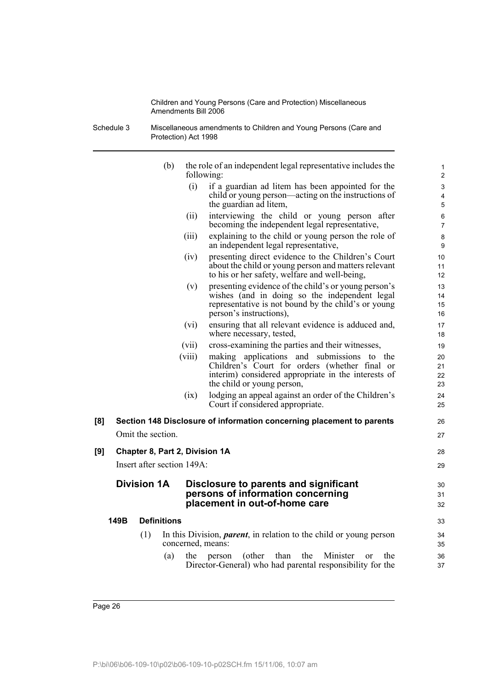Schedule 3 Miscellaneous amendments to Children and Young Persons (Care and Protection) Act 1998

|     |      |                            | (b)    | the role of an independent legal representative includes the<br>following:                                                                                                                     | 1<br>$\overline{2}$  |
|-----|------|----------------------------|--------|------------------------------------------------------------------------------------------------------------------------------------------------------------------------------------------------|----------------------|
|     |      |                            |        | (i)<br>if a guardian ad litem has been appointed for the<br>child or young person—acting on the instructions of<br>the guardian ad litem,                                                      | 3<br>4<br>5          |
|     |      |                            |        | interviewing the child or young person after<br>(ii)<br>becoming the independent legal representative,                                                                                         | 6<br>$\overline{7}$  |
|     |      |                            |        | explaining to the child or young person the role of<br>(111)<br>an independent legal representative,                                                                                           | 8<br>9               |
|     |      |                            |        | presenting direct evidence to the Children's Court<br>(iv)<br>about the child or young person and matters relevant<br>to his or her safety, welfare and well-being,                            | 10<br>11<br>12       |
|     |      |                            |        | presenting evidence of the child's or young person's<br>(v)<br>wishes (and in doing so the independent legal<br>representative is not bound by the child's or young<br>person's instructions), | 13<br>14<br>15<br>16 |
|     |      |                            |        | ensuring that all relevant evidence is adduced and,<br>(vi)<br>where necessary, tested,                                                                                                        | 17<br>18             |
|     |      |                            | (vii)  | cross-examining the parties and their witnesses,                                                                                                                                               | 19                   |
|     |      |                            | (viii) | applications and submissions to the<br>making<br>Children's Court for orders (whether final or<br>interim) considered appropriate in the interests of<br>the child or young person,            | 20<br>21<br>22<br>23 |
|     |      |                            |        | lodging an appeal against an order of the Children's<br>(ix)<br>Court if considered appropriate.                                                                                               | 24<br>25             |
| [8] |      |                            |        | Section 148 Disclosure of information concerning placement to parents                                                                                                                          | 26                   |
|     |      | Omit the section.          |        |                                                                                                                                                                                                | 27                   |
| [9] |      |                            |        | Chapter 8, Part 2, Division 1A                                                                                                                                                                 | 28                   |
|     |      | Insert after section 149A: |        |                                                                                                                                                                                                | 29                   |
|     |      | <b>Division 1A</b>         |        | Disclosure to parents and significant<br>persons of information concerning<br>placement in out-of-home care                                                                                    | 30<br>31<br>32       |
|     | 149B | <b>Definitions</b>         |        |                                                                                                                                                                                                | 33                   |
|     |      | (1)                        |        | In this Division, <i>parent</i> , in relation to the child or young person<br>concerned, means:                                                                                                | 34<br>35             |
|     |      |                            | (a)    | than<br>the<br>Minister<br>the<br>(other)<br>the<br>person<br>or<br>Director-General) who had parental responsibility for the                                                                  | 36<br>37             |
|     |      |                            |        |                                                                                                                                                                                                |                      |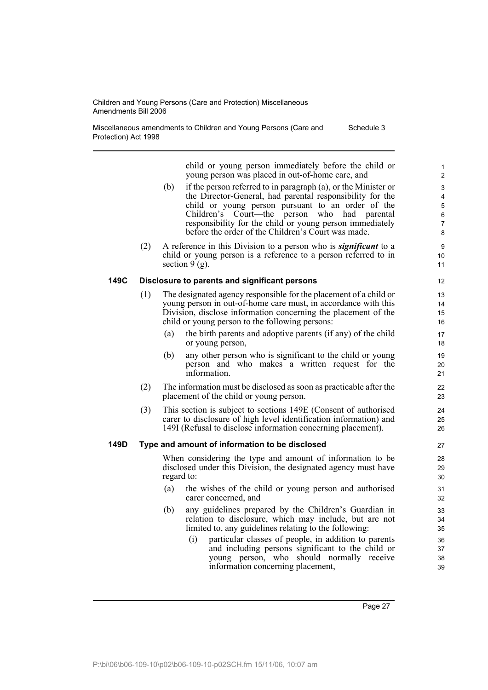Miscellaneous amendments to Children and Young Persons (Care and Protection) Act 1998 Schedule 3

> child or young person immediately before the child or young person was placed in out-of-home care, and

- (b) if the person referred to in paragraph (a), or the Minister or the Director-General, had parental responsibility for the child or young person pursuant to an order of the Children's Court—the person who had parental responsibility for the child or young person immediately before the order of the Children's Court was made.
- (2) A reference in this Division to a person who is *significant* to a child or young person is a reference to a person referred to in section  $9(g)$ .

#### **149C Disclosure to parents and significant persons**

- (1) The designated agency responsible for the placement of a child or young person in out-of-home care must, in accordance with this Division, disclose information concerning the placement of the child or young person to the following persons:
	- (a) the birth parents and adoptive parents (if any) of the child or young person,
	- (b) any other person who is significant to the child or young person and who makes a written request for the information.
- (2) The information must be disclosed as soon as practicable after the placement of the child or young person.
- (3) This section is subject to sections 149E (Consent of authorised carer to disclosure of high level identification information) and 149I (Refusal to disclose information concerning placement).

#### **149D Type and amount of information to be disclosed**

When considering the type and amount of information to be disclosed under this Division, the designated agency must have regard to:

- (a) the wishes of the child or young person and authorised carer concerned, and
- (b) any guidelines prepared by the Children's Guardian in relation to disclosure, which may include, but are not limited to, any guidelines relating to the following:
	- (i) particular classes of people, in addition to parents and including persons significant to the child or young person, who should normally receive information concerning placement,

Page 27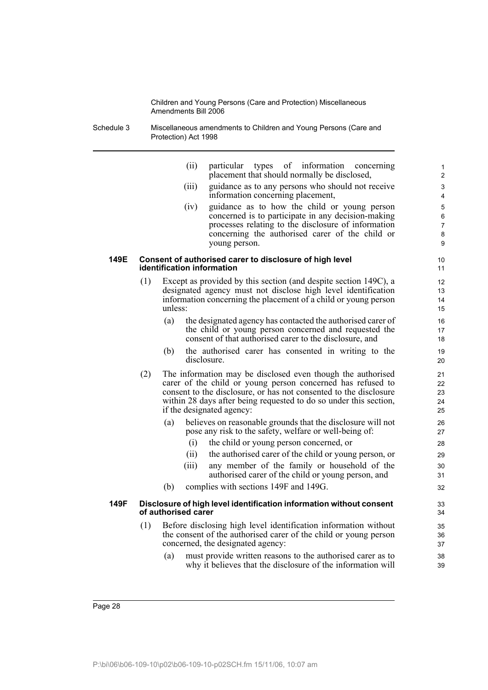Schedule 3 Miscellaneous amendments to Children and Young Persons (Care and Protection) Act 1998

| (ii) |  | particular types of information concerning   |  |
|------|--|----------------------------------------------|--|
|      |  | placement that should normally be disclosed, |  |

- (iii) guidance as to any persons who should not receive information concerning placement,
- (iv) guidance as to how the child or young person concerned is to participate in any decision-making processes relating to the disclosure of information concerning the authorised carer of the child or young person.

#### **149E Consent of authorised carer to disclosure of high level identification information**

- (1) Except as provided by this section (and despite section 149C), a designated agency must not disclose high level identification information concerning the placement of a child or young person unless:
	- (a) the designated agency has contacted the authorised carer of the child or young person concerned and requested the consent of that authorised carer to the disclosure, and
	- (b) the authorised carer has consented in writing to the disclosure.
- (2) The information may be disclosed even though the authorised carer of the child or young person concerned has refused to consent to the disclosure, or has not consented to the disclosure within 28 days after being requested to do so under this section, if the designated agency:
	- (a) believes on reasonable grounds that the disclosure will not pose any risk to the safety, welfare or well-being of:
		- (i) the child or young person concerned, or
		- (ii) the authorised carer of the child or young person, or
		- (iii) any member of the family or household of the authorised carer of the child or young person, and
	- (b) complies with sections 149F and 149G.

#### **149F Disclosure of high level identification information without consent of authorised carer**

- (1) Before disclosing high level identification information without the consent of the authorised carer of the child or young person concerned, the designated agency:
	- (a) must provide written reasons to the authorised carer as to why it believes that the disclosure of the information will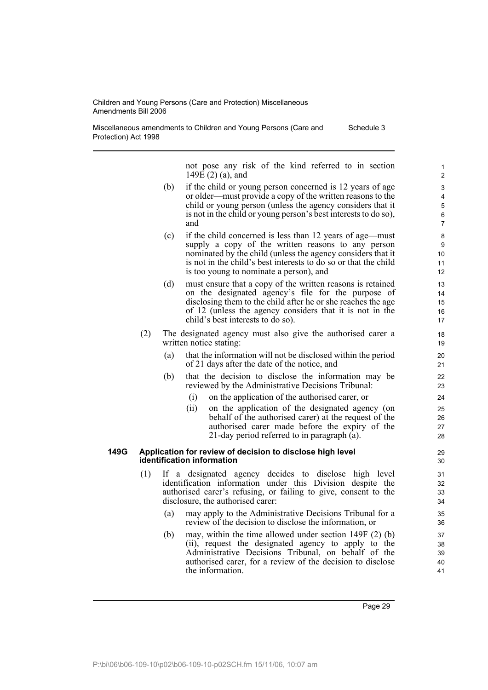Miscellaneous amendments to Children and Young Persons (Care and Protection) Act 1998 Schedule 3

> not pose any risk of the kind referred to in section 149 $E(2)$  (a), and

- (b) if the child or young person concerned is 12 years of age or older—must provide a copy of the written reasons to the child or young person (unless the agency considers that it is not in the child or young person's best interests to do so), and
- (c) if the child concerned is less than 12 years of age—must supply a copy of the written reasons to any person nominated by the child (unless the agency considers that it is not in the child's best interests to do so or that the child is too young to nominate a person), and
- (d) must ensure that a copy of the written reasons is retained on the designated agency's file for the purpose of disclosing them to the child after he or she reaches the age of 12 (unless the agency considers that it is not in the child's best interests to do so).
- (2) The designated agency must also give the authorised carer a written notice stating:
	- (a) that the information will not be disclosed within the period of 21 days after the date of the notice, and
	- (b) that the decision to disclose the information may be reviewed by the Administrative Decisions Tribunal:
		- (i) on the application of the authorised carer, or
		- (ii) on the application of the designated agency (on behalf of the authorised carer) at the request of the authorised carer made before the expiry of the 21-day period referred to in paragraph (a).

#### **149G Application for review of decision to disclose high level identification information**

- (1) If a designated agency decides to disclose high level identification information under this Division despite the authorised carer's refusing, or failing to give, consent to the disclosure, the authorised carer:
	- (a) may apply to the Administrative Decisions Tribunal for a review of the decision to disclose the information, or
	- (b) may, within the time allowed under section 149F (2) (b) (ii), request the designated agency to apply to the Administrative Decisions Tribunal, on behalf of the authorised carer, for a review of the decision to disclose the information.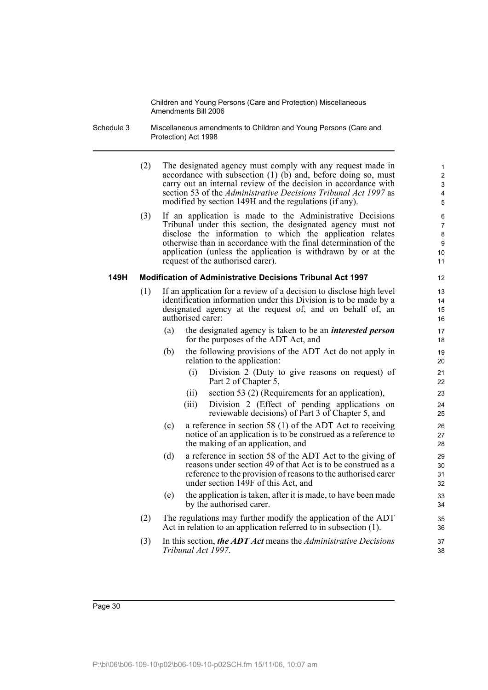- Schedule 3 Miscellaneous amendments to Children and Young Persons (Care and Protection) Act 1998
	- (2) The designated agency must comply with any request made in accordance with subsection  $(1)$   $(b)$  and, before doing so, must carry out an internal review of the decision in accordance with section 53 of the *Administrative Decisions Tribunal Act 1997* as modified by section 149H and the regulations (if any).

(3) If an application is made to the Administrative Decisions Tribunal under this section, the designated agency must not disclose the information to which the application relates otherwise than in accordance with the final determination of the application (unless the application is withdrawn by or at the request of the authorised carer).

#### **149H Modification of Administrative Decisions Tribunal Act 1997**

- (1) If an application for a review of a decision to disclose high level identification information under this Division is to be made by a designated agency at the request of, and on behalf of, an authorised carer:
	- (a) the designated agency is taken to be an *interested person* for the purposes of the ADT Act, and
	- (b) the following provisions of the ADT Act do not apply in relation to the application:
		- (i) Division 2 (Duty to give reasons on request) of Part 2 of Chapter 5,
		- (ii) section 53 (2) (Requirements for an application),
		- (iii) Division 2 (Effect of pending applications on reviewable decisions) of Part 3 of Chapter 5, and
	- (c) a reference in section 58 (1) of the ADT Act to receiving notice of an application is to be construed as a reference to the making of an application, and
	- (d) a reference in section 58 of the ADT Act to the giving of reasons under section 49 of that Act is to be construed as a reference to the provision of reasons to the authorised carer under section 149F of this Act, and
	- (e) the application is taken, after it is made, to have been made by the authorised carer.
- (2) The regulations may further modify the application of the ADT Act in relation to an application referred to in subsection (1).
- (3) In this section, *the ADT Act* means the *Administrative Decisions Tribunal Act 1997*.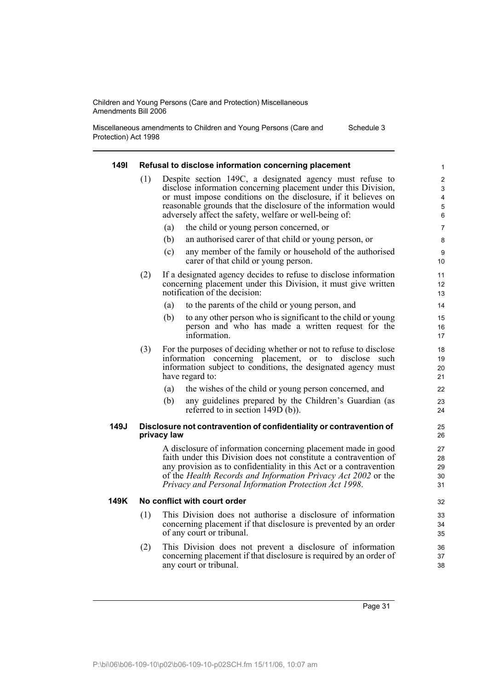Miscellaneous amendments to Children and Young Persons (Care and Protection) Act 1998 Schedule 3

#### **149I Refusal to disclose information concerning placement** (1) Despite section 149C, a designated agency must refuse to disclose information concerning placement under this Division, or must impose conditions on the disclosure, if it believes on reasonable grounds that the disclosure of the information would adversely affect the safety, welfare or well-being of: (a) the child or young person concerned, or (b) an authorised carer of that child or young person, or (c) any member of the family or household of the authorised carer of that child or young person. (2) If a designated agency decides to refuse to disclose information concerning placement under this Division, it must give written notification of the decision: (a) to the parents of the child or young person, and (b) to any other person who is significant to the child or young person and who has made a written request for the information. (3) For the purposes of deciding whether or not to refuse to disclose information concerning placement, or to disclose such information subject to conditions, the designated agency must have regard to: (a) the wishes of the child or young person concerned, and (b) any guidelines prepared by the Children's Guardian (as referred to in section 149D (b)). **149J Disclosure not contravention of confidentiality or contravention of privacy law** A disclosure of information concerning placement made in good faith under this Division does not constitute a contravention of any provision as to confidentiality in this Act or a contravention of the *Health Records and Information Privacy Act 2002* or the *Privacy and Personal Information Protection Act 1998*. **149K No conflict with court order** (1) This Division does not authorise a disclosure of information concerning placement if that disclosure is prevented by an order of any court or tribunal. (2) This Division does not prevent a disclosure of information concerning placement if that disclosure is required by an order of 1 2 3 4 5 6 7 8 9 10 11 12 13 14 15 16 17 18 19 20 21 22 23  $24$ 25 26 27 28 29 30 31 32 33 34 35 36 37

Page 31

38

any court or tribunal.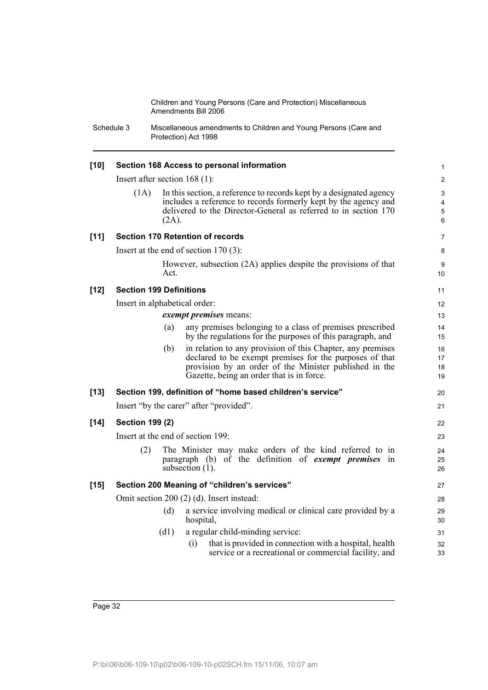Schedule 3 Miscellaneous amendments to Children and Young Persons (Care and Protection) Act 1998

| $[10]$ |                                                                                                                        |          | Section 168 Access to personal information                                                                                                                                                                                   | 1                    |  |  |  |
|--------|------------------------------------------------------------------------------------------------------------------------|----------|------------------------------------------------------------------------------------------------------------------------------------------------------------------------------------------------------------------------------|----------------------|--|--|--|
|        | Insert after section $168(1)$ :                                                                                        |          |                                                                                                                                                                                                                              | $\overline{2}$       |  |  |  |
|        | (1A)                                                                                                                   | $(2A)$ . | In this section, a reference to records kept by a designated agency<br>includes a reference to records formerly kept by the agency and<br>delivered to the Director-General as referred to in section 170                    | 3<br>4<br>5<br>6     |  |  |  |
| $[11]$ |                                                                                                                        |          | <b>Section 170 Retention of records</b>                                                                                                                                                                                      | $\overline{7}$       |  |  |  |
|        |                                                                                                                        |          | Insert at the end of section $170(3)$ :                                                                                                                                                                                      | 8                    |  |  |  |
|        |                                                                                                                        | Act.     | However, subsection (2A) applies despite the provisions of that                                                                                                                                                              | 9<br>10              |  |  |  |
| $[12]$ | <b>Section 199 Definitions</b>                                                                                         |          |                                                                                                                                                                                                                              | 11                   |  |  |  |
|        | Insert in alphabetical order:                                                                                          |          |                                                                                                                                                                                                                              | 12                   |  |  |  |
|        |                                                                                                                        |          | exempt premises means:                                                                                                                                                                                                       | 13                   |  |  |  |
|        |                                                                                                                        | (a)      | any premises belonging to a class of premises prescribed<br>by the regulations for the purposes of this paragraph, and                                                                                                       | 14<br>15             |  |  |  |
|        |                                                                                                                        | (b)      | in relation to any provision of this Chapter, any premises<br>declared to be exempt premises for the purposes of that<br>provision by an order of the Minister published in the<br>Gazette, being an order that is in force. | 16<br>17<br>18<br>19 |  |  |  |
| $[13]$ |                                                                                                                        |          | Section 199, definition of "home based children's service"                                                                                                                                                                   | 20                   |  |  |  |
|        |                                                                                                                        |          | Insert "by the carer" after "provided".                                                                                                                                                                                      | 21                   |  |  |  |
| $[14]$ | <b>Section 199 (2)</b>                                                                                                 |          |                                                                                                                                                                                                                              | 22                   |  |  |  |
|        |                                                                                                                        |          | Insert at the end of section 199:                                                                                                                                                                                            | 23                   |  |  |  |
|        | (2)                                                                                                                    |          | The Minister may make orders of the kind referred to in<br>paragraph (b) of the definition of <i>exempt premises</i> in<br>subsection $(1)$ .                                                                                | 24<br>25<br>26       |  |  |  |
| $[15]$ |                                                                                                                        |          | Section 200 Meaning of "children's services"                                                                                                                                                                                 | 27                   |  |  |  |
|        |                                                                                                                        |          | Omit section 200 (2) (d). Insert instead:                                                                                                                                                                                    | 28                   |  |  |  |
|        |                                                                                                                        | (d)      | a service involving medical or clinical care provided by a<br>hospital,                                                                                                                                                      | 29<br>30             |  |  |  |
|        |                                                                                                                        | (d1)     | a regular child-minding service:                                                                                                                                                                                             | 31                   |  |  |  |
|        | that is provided in connection with a hospital, health<br>(i)<br>service or a recreational or commercial facility, and |          |                                                                                                                                                                                                                              |                      |  |  |  |
|        |                                                                                                                        |          |                                                                                                                                                                                                                              |                      |  |  |  |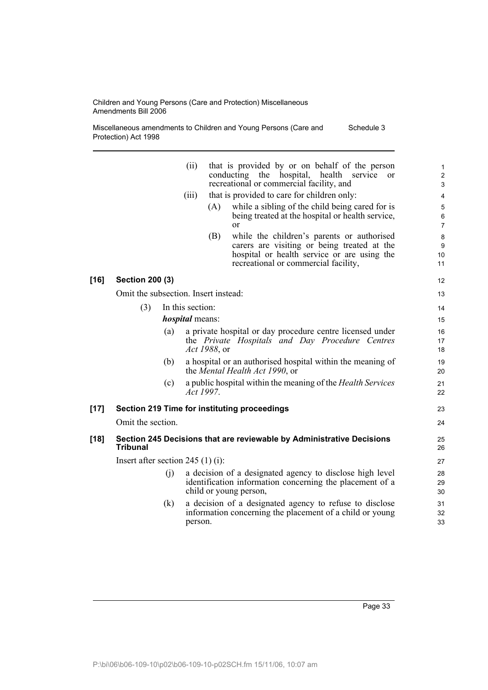Miscellaneous amendments to Children and Young Persons (Care and Protection) Act 1998 Schedule 3

|      |                                      |     | (ii)<br>(iii)          | (A)<br>(B)   | that is provided by or on behalf of the person<br>conducting<br>the<br>hospital,<br>health<br>service<br><sub>or</sub><br>recreational or commercial facility, and<br>that is provided to care for children only:<br>while a sibling of the child being cared for is<br>being treated at the hospital or health service,<br><sub>or</sub><br>while the children's parents or authorised<br>carers are visiting or being treated at the<br>hospital or health service or are using the<br>recreational or commercial facility, | $\mathbf{1}$<br>$\overline{c}$<br>$\mathsf 3$<br>4<br>5<br>6<br>$\overline{7}$<br>8<br>9<br>10<br>11 |
|------|--------------------------------------|-----|------------------------|--------------|-------------------------------------------------------------------------------------------------------------------------------------------------------------------------------------------------------------------------------------------------------------------------------------------------------------------------------------------------------------------------------------------------------------------------------------------------------------------------------------------------------------------------------|------------------------------------------------------------------------------------------------------|
| [16] | <b>Section 200 (3)</b>               |     |                        |              |                                                                                                                                                                                                                                                                                                                                                                                                                                                                                                                               | 12                                                                                                   |
|      | Omit the subsection. Insert instead: |     |                        |              |                                                                                                                                                                                                                                                                                                                                                                                                                                                                                                                               | 13                                                                                                   |
|      | (3)                                  |     | In this section:       |              |                                                                                                                                                                                                                                                                                                                                                                                                                                                                                                                               | 14                                                                                                   |
|      |                                      |     | <i>hospital</i> means: |              |                                                                                                                                                                                                                                                                                                                                                                                                                                                                                                                               | 15                                                                                                   |
|      |                                      | (a) |                        | Act 1988, or | a private hospital or day procedure centre licensed under<br>the Private Hospitals and Day Procedure Centres                                                                                                                                                                                                                                                                                                                                                                                                                  | 16<br>17<br>18                                                                                       |
|      |                                      | (b) |                        |              | a hospital or an authorised hospital within the meaning of<br>the Mental Health Act 1990, or                                                                                                                                                                                                                                                                                                                                                                                                                                  | 19<br>20                                                                                             |
|      |                                      | (c) |                        | Act 1997.    | a public hospital within the meaning of the <i>Health Services</i>                                                                                                                                                                                                                                                                                                                                                                                                                                                            | 21<br>22                                                                                             |
| [17] |                                      |     |                        |              | <b>Section 219 Time for instituting proceedings</b>                                                                                                                                                                                                                                                                                                                                                                                                                                                                           | 23                                                                                                   |
|      | Omit the section.                    |     |                        |              |                                                                                                                                                                                                                                                                                                                                                                                                                                                                                                                               | 24                                                                                                   |
| [18] | <b>Tribunal</b>                      |     |                        |              | Section 245 Decisions that are reviewable by Administrative Decisions                                                                                                                                                                                                                                                                                                                                                                                                                                                         | 25<br>26                                                                                             |
|      | Insert after section 245 $(1)$ (i):  |     |                        |              |                                                                                                                                                                                                                                                                                                                                                                                                                                                                                                                               | 27                                                                                                   |
|      |                                      | (j) |                        |              | a decision of a designated agency to disclose high level<br>identification information concerning the placement of a<br>child or young person,                                                                                                                                                                                                                                                                                                                                                                                | 28<br>29<br>30                                                                                       |
|      |                                      | (k) | person.                |              | a decision of a designated agency to refuse to disclose<br>information concerning the placement of a child or young                                                                                                                                                                                                                                                                                                                                                                                                           | 31<br>32<br>33                                                                                       |
|      |                                      |     |                        |              |                                                                                                                                                                                                                                                                                                                                                                                                                                                                                                                               |                                                                                                      |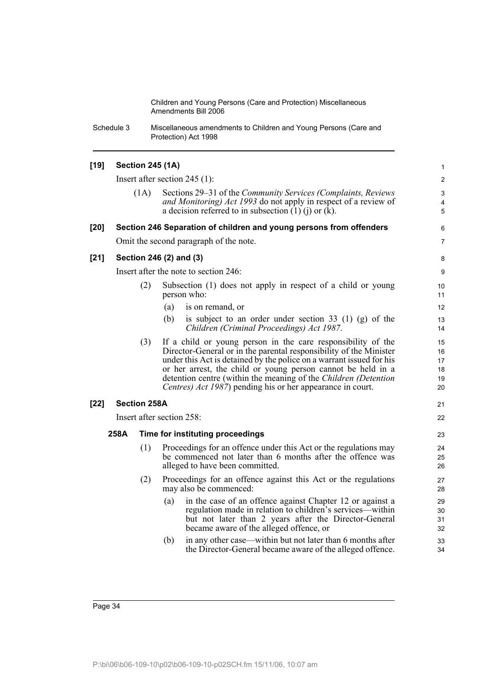Schedule 3 Miscellaneous amendments to Children and Young Persons (Care and Protection) Act 1998

#### **[19] Section 245 (1A)**

Insert after section 245 (1):

(1A) Sections 29–31 of the *Community Services (Complaints, Reviews and Monitoring) Act 1993* do not apply in respect of a review of a decision referred to in subsection  $(1)$   $(i)$  or  $(k)$ .

21 22

## **[20] Section 246 Separation of children and young persons from offenders** Omit the second paragraph of the note.

**[21] Section 246 (2) and (3)**

Insert after the note to section 246:

- (2) Subsection (1) does not apply in respect of a child or young person who:
	- (a) is on remand, or
	- (b) is subject to an order under section 33 (1) (g) of the *Children (Criminal Proceedings) Act 1987*.
- (3) If a child or young person in the care responsibility of the Director-General or in the parental responsibility of the Minister under this Act is detained by the police on a warrant issued for his or her arrest, the child or young person cannot be held in a detention centre (within the meaning of the *Children (Detention Centres) Act 1987*) pending his or her appearance in court.

#### **[22] Section 258A**

Insert after section 258:

#### **258A Time for instituting proceedings**

- (1) Proceedings for an offence under this Act or the regulations may be commenced not later than 6 months after the offence was alleged to have been committed.
- (2) Proceedings for an offence against this Act or the regulations may also be commenced:
	- (a) in the case of an offence against Chapter 12 or against a regulation made in relation to children's services—within but not later than 2 years after the Director-General became aware of the alleged offence, or
	- (b) in any other case—within but not later than 6 months after the Director-General became aware of the alleged offence.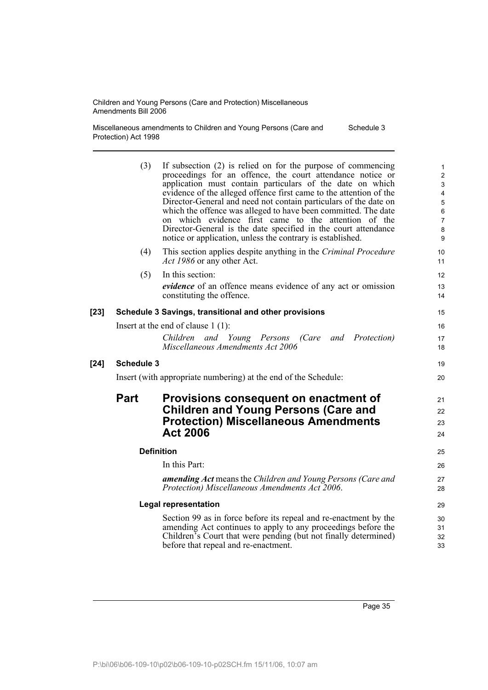Miscellaneous amendments to Children and Young Persons (Care and Protection) Act 1998 Schedule 3

|        | (3)         | If subsection (2) is relied on for the purpose of commencing<br>proceedings for an offence, the court attendance notice or<br>application must contain particulars of the date on which<br>evidence of the alleged offence first came to the attention of the<br>Director-General and need not contain particulars of the date on<br>which the offence was alleged to have been committed. The date<br>on which evidence first came to the attention of the<br>Director-General is the date specified in the court attendance<br>notice or application, unless the contrary is established. | $\mathbf{1}$<br>$\overline{2}$<br>$\ensuremath{\mathsf{3}}$<br>$\overline{\mathbf{4}}$<br>$\overline{5}$<br>$\,6\,$<br>$\overline{7}$<br>$\bf 8$<br>9 |
|--------|-------------|---------------------------------------------------------------------------------------------------------------------------------------------------------------------------------------------------------------------------------------------------------------------------------------------------------------------------------------------------------------------------------------------------------------------------------------------------------------------------------------------------------------------------------------------------------------------------------------------|-------------------------------------------------------------------------------------------------------------------------------------------------------|
|        | (4)         | This section applies despite anything in the Criminal Procedure<br><i>Act 1986</i> or any other Act.                                                                                                                                                                                                                                                                                                                                                                                                                                                                                        | 10<br>11                                                                                                                                              |
|        | (5)         | In this section:<br>evidence of an offence means evidence of any act or omission<br>constituting the offence.                                                                                                                                                                                                                                                                                                                                                                                                                                                                               | 12<br>13<br>14                                                                                                                                        |
| $[23]$ |             | Schedule 3 Savings, transitional and other provisions                                                                                                                                                                                                                                                                                                                                                                                                                                                                                                                                       | 15                                                                                                                                                    |
|        |             | Insert at the end of clause $1(1)$ :                                                                                                                                                                                                                                                                                                                                                                                                                                                                                                                                                        | 16                                                                                                                                                    |
|        |             | Children and Young Persons<br>(Care and Protection)<br>Miscellaneous Amendments Act 2006                                                                                                                                                                                                                                                                                                                                                                                                                                                                                                    | 17<br>18                                                                                                                                              |
| $[24]$ | Schedule 3  |                                                                                                                                                                                                                                                                                                                                                                                                                                                                                                                                                                                             | 19                                                                                                                                                    |
|        |             | Insert (with appropriate numbering) at the end of the Schedule:                                                                                                                                                                                                                                                                                                                                                                                                                                                                                                                             | 20                                                                                                                                                    |
|        | <b>Part</b> | Provisions consequent on enactment of<br><b>Children and Young Persons (Care and</b><br><b>Protection) Miscellaneous Amendments</b><br><b>Act 2006</b>                                                                                                                                                                                                                                                                                                                                                                                                                                      | 21<br>22<br>23<br>24                                                                                                                                  |
|        |             | <b>Definition</b>                                                                                                                                                                                                                                                                                                                                                                                                                                                                                                                                                                           | 25                                                                                                                                                    |
|        |             | In this Part:                                                                                                                                                                                                                                                                                                                                                                                                                                                                                                                                                                               | 26                                                                                                                                                    |
|        |             | <b>amending Act</b> means the Children and Young Persons (Care and<br>Protection) Miscellaneous Amendments Act 2006.                                                                                                                                                                                                                                                                                                                                                                                                                                                                        | 27<br>28                                                                                                                                              |
|        |             | <b>Legal representation</b>                                                                                                                                                                                                                                                                                                                                                                                                                                                                                                                                                                 | 29                                                                                                                                                    |
|        |             | Section 99 as in force before its repeal and re-enactment by the<br>amending Act continues to apply to any proceedings before the<br>Children's Court that were pending (but not finally determined)<br>before that repeal and re-enactment.                                                                                                                                                                                                                                                                                                                                                | 30<br>31<br>32<br>33                                                                                                                                  |
|        |             |                                                                                                                                                                                                                                                                                                                                                                                                                                                                                                                                                                                             |                                                                                                                                                       |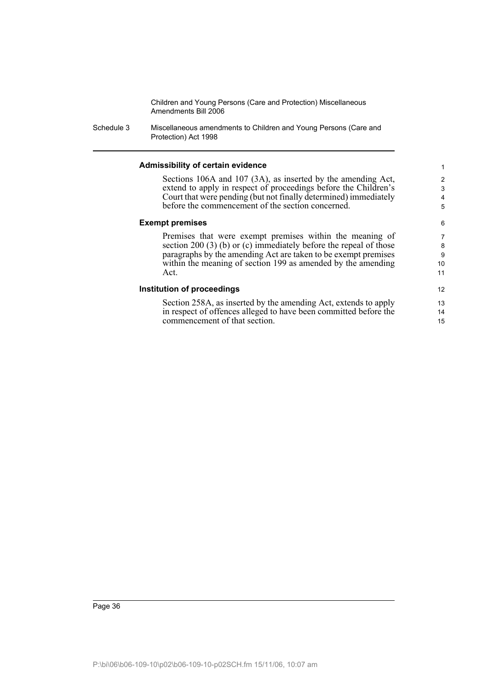Schedule 3 Miscellaneous amendments to Children and Young Persons (Care and Protection) Act 1998

#### **Admissibility of certain evidence**

Sections 106A and 107 (3A), as inserted by the amending Act, extend to apply in respect of proceedings before the Children's Court that were pending (but not finally determined) immediately before the commencement of the section concerned.

#### **Exempt premises**

Premises that were exempt premises within the meaning of section 200 (3) (b) or (c) immediately before the repeal of those paragraphs by the amending Act are taken to be exempt premises within the meaning of section 199 as amended by the amending Act.

#### **Institution of proceedings**

Section 258A, as inserted by the amending Act, extends to apply in respect of offences alleged to have been committed before the commencement of that section.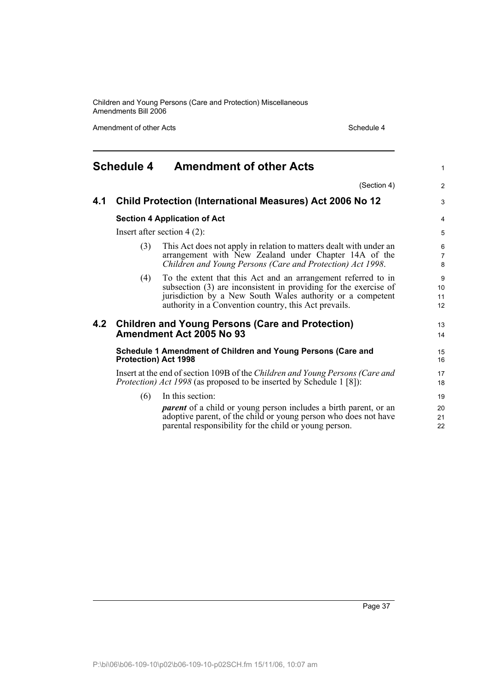Amendment of other Acts Schedule 4

| <b>Schedule 4</b> |                                                                                                                                                              | <b>Amendment of other Acts</b>                                                                                                                                                                                                                           |                          |  |  |
|-------------------|--------------------------------------------------------------------------------------------------------------------------------------------------------------|----------------------------------------------------------------------------------------------------------------------------------------------------------------------------------------------------------------------------------------------------------|--------------------------|--|--|
|                   |                                                                                                                                                              | (Section 4)                                                                                                                                                                                                                                              | 2                        |  |  |
| 4.1               |                                                                                                                                                              | <b>Child Protection (International Measures) Act 2006 No 12</b>                                                                                                                                                                                          | 3                        |  |  |
|                   |                                                                                                                                                              | <b>Section 4 Application of Act</b>                                                                                                                                                                                                                      | $\overline{4}$           |  |  |
|                   |                                                                                                                                                              | Insert after section $4(2)$ :                                                                                                                                                                                                                            | 5                        |  |  |
|                   | (3)                                                                                                                                                          | This Act does not apply in relation to matters dealt with under an<br>arrangement with New Zealand under Chapter 14A of the<br>Children and Young Persons (Care and Protection) Act 1998.                                                                | 6<br>$\overline{7}$<br>8 |  |  |
|                   | (4)                                                                                                                                                          | To the extent that this Act and an arrangement referred to in<br>subsection (3) are inconsistent in providing for the exercise of<br>jurisdiction by a New South Wales authority or a competent<br>authority in a Convention country, this Act prevails. | 9<br>10<br>11<br>12      |  |  |
| 4.2               |                                                                                                                                                              | <b>Children and Young Persons (Care and Protection)</b><br>Amendment Act 2005 No 93                                                                                                                                                                      | 13<br>14                 |  |  |
|                   | Schedule 1 Amendment of Children and Young Persons (Care and<br><b>Protection) Act 1998</b>                                                                  |                                                                                                                                                                                                                                                          |                          |  |  |
|                   | Insert at the end of section 109B of the Children and Young Persons (Care and<br><i>Protection) Act 1998</i> (as proposed to be inserted by Schedule 1 [8]): |                                                                                                                                                                                                                                                          |                          |  |  |
|                   | (6)                                                                                                                                                          | In this section:<br><i>parent</i> of a child or young person includes a birth parent, or an<br>adoptive parent, of the child or young person who does not have<br>parental responsibility for the child or young person.                                 | 19<br>20<br>21<br>22     |  |  |